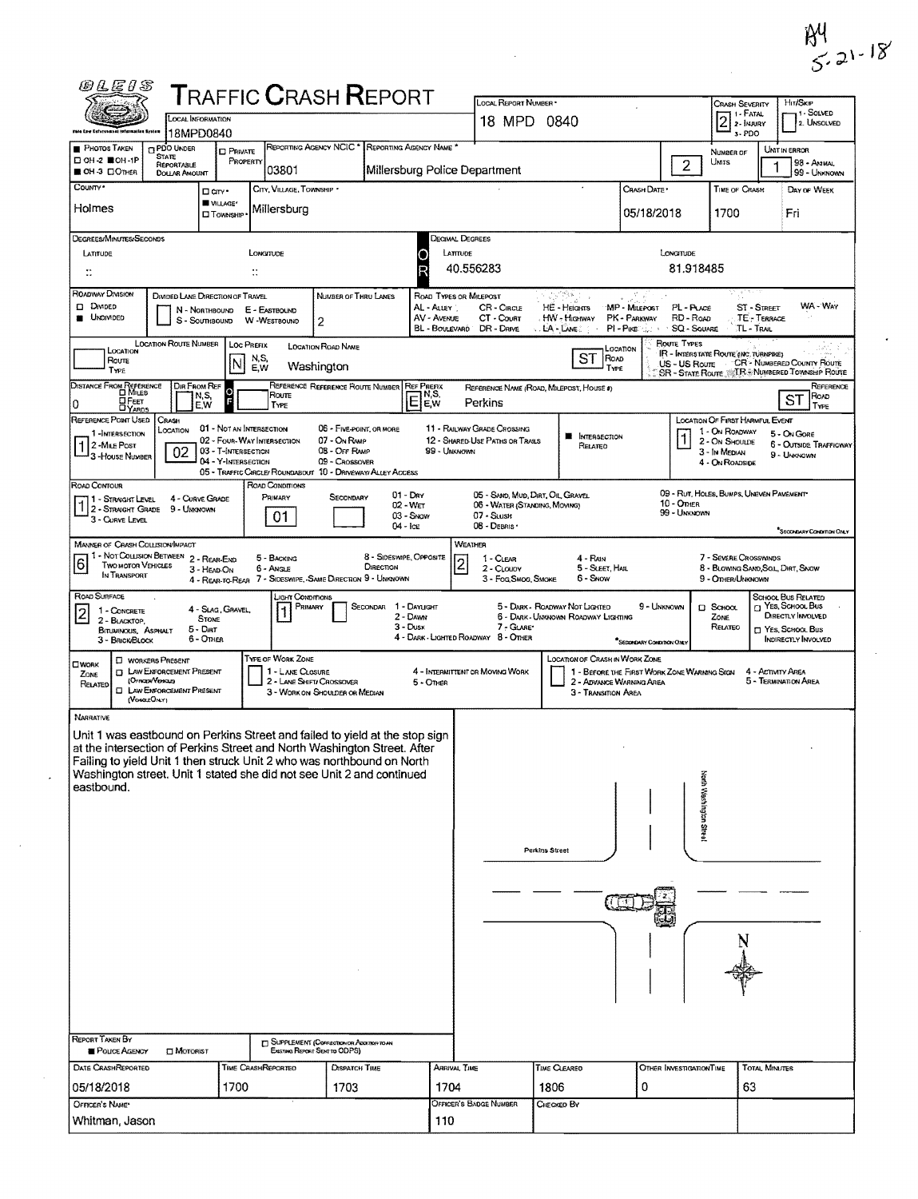| RЧ          |  |
|-------------|--|
| $5.21 - 18$ |  |

 $\sim 10^{11}$ 

|                                                                                                 | OCAL INFORMATION<br>18MPD0840<br>Infermation Eyaton                                                                                    |                                                                                                      |                                                                                                                                                                                                                                                                                                            |                                                                       | 18 MPD 0840                                                                                       |                                                                                                                |                                                                                       | $2$ $\frac{1.244}{2.244}$<br>3-PDO                                                                      | . 1 - SOLVED<br>2. UNSOLVED                                                                                         |
|-------------------------------------------------------------------------------------------------|----------------------------------------------------------------------------------------------------------------------------------------|------------------------------------------------------------------------------------------------------|------------------------------------------------------------------------------------------------------------------------------------------------------------------------------------------------------------------------------------------------------------------------------------------------------------|-----------------------------------------------------------------------|---------------------------------------------------------------------------------------------------|----------------------------------------------------------------------------------------------------------------|---------------------------------------------------------------------------------------|---------------------------------------------------------------------------------------------------------|---------------------------------------------------------------------------------------------------------------------|
| PHOTOS TAKEN<br>□ OH-2 ■OH-1P                                                                   | <b>IT PDO UNDER</b><br>State                                                                                                           | $D$ Private<br>PROPERTY                                                                              | REPORTING AGENCY NCIC <sup>*</sup> REPORTING AGENCY NAME <sup>*</sup>                                                                                                                                                                                                                                      |                                                                       |                                                                                                   |                                                                                                                |                                                                                       | NUMBER OF<br>UNITS                                                                                      | UNIT IN ERROR<br>98 - Animal                                                                                        |
| <b>BOH 3 CIOTHER</b><br>COUNTY*                                                                 | REPORTABLE<br>DOLLAR AMOUNT                                                                                                            | 03801                                                                                                |                                                                                                                                                                                                                                                                                                            | Millersburg Police Department                                         |                                                                                                   |                                                                                                                | $\overline{2}$                                                                        |                                                                                                         | 99 - UNKNOWN                                                                                                        |
| Holmes                                                                                          | □ cm·<br><b>WILLAGE*</b><br><b>CITOWNSHIP</b>                                                                                          | CITY, VILLAGE, TOWNSHIP *<br>Millersburg                                                             |                                                                                                                                                                                                                                                                                                            |                                                                       |                                                                                                   |                                                                                                                | CRASH DATE *<br>05/18/2018                                                            | <b>TIME OF CRASH</b><br>1700                                                                            | DAY OF WEEK<br>Fri                                                                                                  |
| DEGREES/MINUTES/SECONDS<br>LATITUDE<br>$\ddot{}}$                                               |                                                                                                                                        | LONGITUDE<br>$\mathbb{R}$                                                                            |                                                                                                                                                                                                                                                                                                            | DECIMAL DEGREES<br>LATTUDE                                            | 40.556283                                                                                         |                                                                                                                | LONGTUDE<br>81.918485                                                                 |                                                                                                         |                                                                                                                     |
| ROADWAY DIVISION<br>D DIMDED<br><b>UNDIVIDED</b>                                                | DIVIDED LANE DIRECTION OF TRAVEL<br>N - Northbound<br>S - SOUTHBOUND                                                                   | E - EASTBOUND<br>W -WESTBOUND                                                                        | NUMBER OF THRU LANES<br>2                                                                                                                                                                                                                                                                                  | ROAD TYPES OR MILEPOST<br>AL - ALLEY<br>AV - AVENUE<br>BL - BOULEVARD | CR - CIRCLE<br>CT - COURT<br>DR - Drive                                                           | $\overline{\mathcal{O}^{\text{reg}}_{\text{max}}(\mathbf{x})}$ ,<br>HE - Heicarrs<br>HW - Highway<br>LA - LANE | ्रस्त<br>MP - MILEPOST<br>PL-PLACE<br>PK - Parkway<br>RD - Roap<br>PI-PIKE  SQ-SQUARE | <b>ST-STREET</b><br>TE - TERRACE<br>TL - TRAIL                                                          | WA - WAY                                                                                                            |
| LOCATION<br>Route<br>TYPE                                                                       | <b>LOCATION ROUTE NUMBER</b>                                                                                                           | <b>LOC PREFIX</b><br>N,S,<br>INI<br>E, W                                                             | <b>LOCATION ROAD NAME</b><br>Washington                                                                                                                                                                                                                                                                    |                                                                       |                                                                                                   | ST<br>ROAD<br>TYPE                                                                                             | Route Types<br>LOCATION<br>US - US Route                                              | IR - INTERSTATE ROUTE (INC. TURNPIKE)                                                                   | "CR - NUMBERED COUNTY ROUTE<br>SR - STATE ROUTE <b>TR. NUMBERED TOWNSHIP ROUTE</b>                                  |
| DISTANCE FROM REFERENCE<br>OFEET<br>0<br><b>DYARDS</b>                                          | DIR FROM REF<br>N,S,<br>E,W                                                                                                            | o<br>Route<br>TYPE                                                                                   | REFERENCE REFERENCE ROUTE NUMBER REF PREFIX                                                                                                                                                                                                                                                                | $E_{\text{EW}}^{\text{NS}}$                                           | REFERENCE NAME (ROAD, MILEPOST, HOUSE #)<br>Perkins                                               |                                                                                                                |                                                                                       |                                                                                                         | REFERENCE<br>ROAD<br>SТ<br>TYPE                                                                                     |
| REFERENCE POINT USED<br>1-INTERSECTION<br>$ 1 $ 2 - Mille Post<br><sup>1</sup> 3 - House Number | CRASH<br>LOCATION<br>02                                                                                                                | 01 - NOT AN INTERSECTION<br>02 - FOUR-WAY INTERSECTION<br>03 - T-INTERSECTION<br>04 - Y-INTERSECTION | 06 - FIVE-POINT, OR MORE<br>07 - On RAMP<br>08 - OFF RAMP<br>09 - Crossover<br>05 - TRAFFIC CIRCLE/ ROUNDABOUT 10 - DRIVEWAY/ ALLEY ACCESS                                                                                                                                                                 | 99 - UNKNOWN                                                          | <b>11 - RAILWAY GRADE CROSSING</b><br>12 - SHARED USE PATHS OR TRAILS                             | <b>E</b> INTERSECTION<br>Related                                                                               |                                                                                       | LOCATION OF FIRST HARMFUL EVENT<br>1 - On ROADWAY<br>2 - On Shourde<br>3 - In Median<br>4 - ON ROADSIDE | 5 - On Gore<br><b>6 - OUTSIDE TRAFFICWAY</b><br>9 - Unknown                                                         |
| ROAD CONTOUR<br>1 - STRAIGHT LEVEL<br>3 - CURVE LEVEL                                           | 4 - CURVE GRADE<br>1 2 - STRAIGHT GRADE 9 - UNKNOWN                                                                                    | <b>ROAD CONDITIONS</b><br>PRIMARY<br>01                                                              | SECONDARY<br>$04 -$ Ice                                                                                                                                                                                                                                                                                    | $01 -$ Day<br>02 - Wer<br>03 - SNOW                                   | 05 - SAND, MUD, DIRT, OIL, GRAVEL<br>06 - WATER (STANDING, MOVING)<br>07 - SLUSH<br>08 - DEBRIS . |                                                                                                                | 10 - Other<br>99 - UNKNOWN                                                            | 09 - RUT, HOLES, BUMPS, UNEVEN PAVEMENT                                                                 | SECONDARY CONDITION ONLY                                                                                            |
| <b>MANNER OF CRASH COLLISION/MPACT</b><br>6<br>Two motor Vehicles<br>IN TRANSPORT               | 1 1 - Not Collision Between 2 - Rear-End<br>3 - HEAD-ON                                                                                | 5 - BACKING<br>6 - Angle                                                                             | 8 - SIDESWIPE, OPPOSITE<br>DIRECTION<br>4 - REAR-TO-REAR 7 - SIDESWIPE, SAME DIRECTION 9 - UNKNOWN                                                                                                                                                                                                         | $\overline{2}$                                                        | WEATHER<br>1 - CLEAR<br>2 - CLOUDY<br>3 - Fog, Smog, Smoke                                        | 4 - RAIN<br>5 - SLEET HAIL<br>6 - Snow                                                                         |                                                                                       | 7 - Severe Crosswinds<br>8 - BLOWING SAND, SOIL, DIRT, SNOW<br>9 - OTHER/UNKNOWN                        |                                                                                                                     |
| ROAD SURFACE<br>ו כי<br>1 - CONCRETE<br>2 - BLACKTOP,<br>BITUMINOUS, ASPHALT<br>3 - BRICK/BLOCK | 4 - Slag, Gravel.<br><b>STONE</b><br>$5 -$ Dirt<br>$6 -$ Omen                                                                          | "IGHT CONDITIONS<br>Primary                                                                          | SECONDAR 1 - DAYLIGHT                                                                                                                                                                                                                                                                                      | 2 - Dawn<br>$3 - Dusx$                                                | 7 - GLARE*<br>4 - DARK - LIGHTED ROADWAY 8 - OTHER                                                | 5 - DARK - ROADWAY NOT LIGHTED<br>6 - DARK - UMGKOWN ROADWAY LIGHTING                                          | 9 - UNKNOWN<br>SECONDARY CONDITION ONLY                                               | $\square$ School<br>ZONE<br>RELATEO                                                                     | SCHOOL BUS RELATED<br><sup>2</sup> YES, SCHOOL Bus<br>DIRECTLY INVOLVED<br>T YES, SCHOOL BUS<br>INDIRECTLY INVOLVED |
| OWORK<br>ZONE<br>RELATED                                                                        | <b>C</b> WORKERS PRESENT<br><b>ID LAW ENFORCEMENT PRESENT</b><br>(OFFICER/VENCES)<br><b>EL LAW ENFORCEMENT PRESENT</b><br>(VEHOLEONLY) | TYPE OF WORK ZONE<br>1 - LANE CLOSURE<br>2 - LANE SHIFT/ CROSSOVER                                   | 3 - WORK ON SHOULDER OR MEDIAN                                                                                                                                                                                                                                                                             | 5 - OTHER                                                             | 4 - INTERMITTENT OR MOVING WORK                                                                   | LOCATION OF CRASH IN WORK ZONE<br>2 - ADVANCE WARNING AREA<br>3 - Transition Area                              | 1 - BEFORE THE FIRST WORK ZONE WARMING SIGN                                           |                                                                                                         | 4 - ACTIVITY AREA<br>5 - Termination Area                                                                           |
| NARRATIVE                                                                                       |                                                                                                                                        |                                                                                                      | Unit 1 was eastbound on Perkins Street and failed to yield at the stop sign<br>at the intersection of Perkins Street and North Washington Street. After<br>Failing to yield Unit 1 then struck Unit 2 who was northbound on North<br>Washington street. Unit 1 stated she did not see Unit 2 and continued |                                                                       |                                                                                                   |                                                                                                                |                                                                                       | North Washington Street                                                                                 |                                                                                                                     |
|                                                                                                 |                                                                                                                                        |                                                                                                      |                                                                                                                                                                                                                                                                                                            |                                                                       |                                                                                                   | Perkins Street                                                                                                 |                                                                                       |                                                                                                         |                                                                                                                     |
| eastbound.<br><b>REPORT TAKEN BY</b><br>POLICE AGENCY<br>DATE CRASHREPORTED                     | <b>D</b> MOTORIST                                                                                                                      | TIME CRASHREPORTED                                                                                   | [7] SUPPLEMENT (COPRECTION OR ADDITION TO AN<br>Existing Report Sent to ODPS)<br>DISPATCH TIME                                                                                                                                                                                                             | ARRIVAL TIME                                                          |                                                                                                   | TIME CLEARED                                                                                                   | OTHER INVESTIGATION TIME                                                              | <b>TOTAL MINUTES</b>                                                                                    |                                                                                                                     |

 $\mathcal{L}_{\mathrm{eff}}$ 

 $\mathcal{L}_{\mathcal{A}}$ 

 $\label{eq:2.1} \mathcal{L}(\mathcal{L}^{\mathcal{L}}_{\mathcal{L}}(\mathcal{L}^{\mathcal{L}}_{\mathcal{L}})) = \mathcal{L}(\mathcal{L}^{\mathcal{L}}_{\mathcal{L}}(\mathcal{L}^{\mathcal{L}}_{\mathcal{L}})) = \mathcal{L}(\mathcal{L}^{\mathcal{L}}_{\mathcal{L}}(\mathcal{L}^{\mathcal{L}}_{\mathcal{L}}))$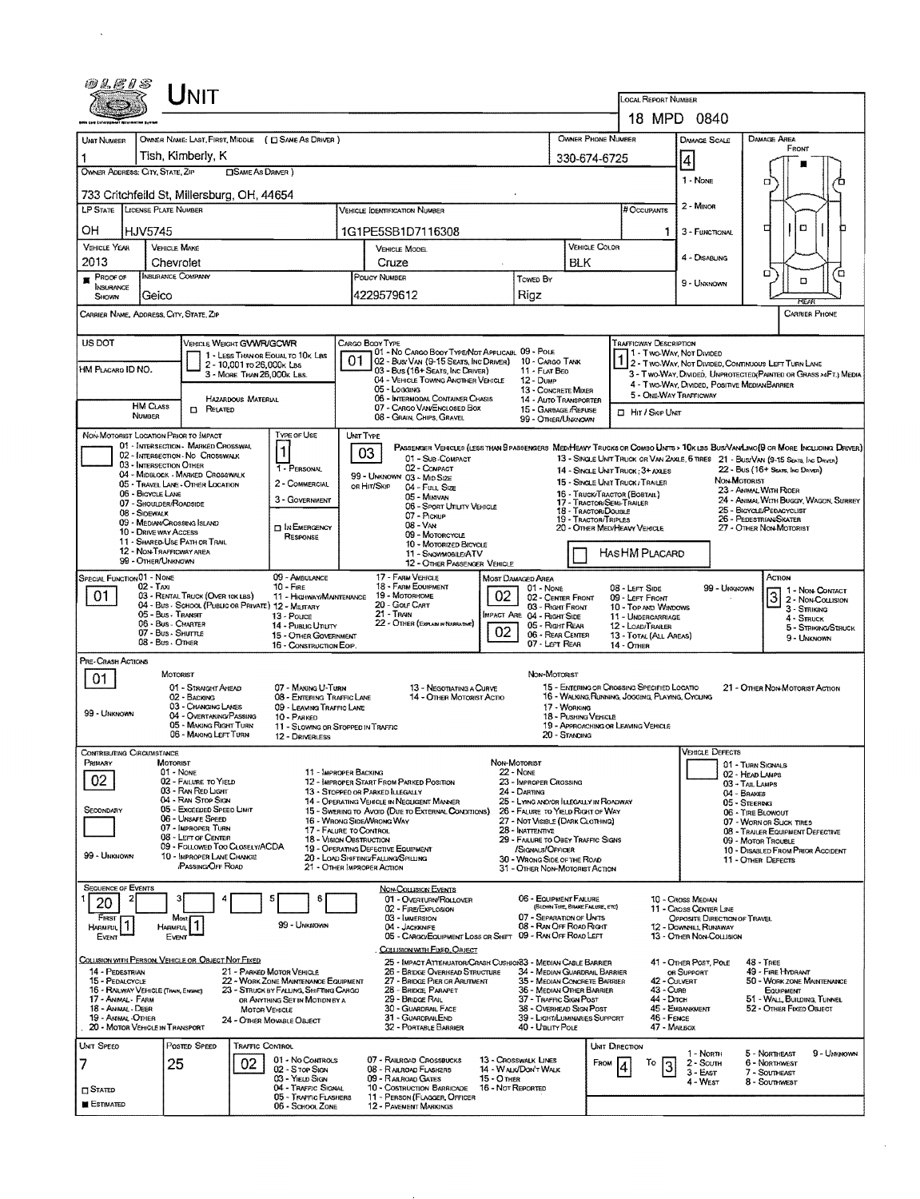| LOCAL REPORT NUMBER<br>18 MPD 0840<br>OWNER PHONE NUMBER<br>OWNER NAME: LAST, FIRST, MIDDLE ( C) SAME AS DRIVER )<br><b>DAMAGE AREA</b><br><b>DAMAGE SCALE</b><br><b>UNT NUMBER</b><br>FRONT<br>Tish, Kimberly, K<br>330-674-6725<br> 4<br>OWNER ADDRESS: CITY, STATE, ZIP<br><b>CISAME AS DRIVER</b> )<br>1 - NONE<br>а<br>733 Critchfeild St, Millersburg, OH, 44654<br>2 - Minon<br>LP STATE LICENSE PLATE NUMBER<br># Occupants<br><b>VEHICLE IDENTIFICATION NUMBER</b><br>O<br>п<br>OН<br>HJV5745<br>1G1PE5SB1D7116308<br>3 - FUNCTIONAL<br>1.<br><b>VEHICLE COLOR</b><br>VEHICLE YEAR<br><b>VEHICLE MAKE</b><br><b>VEHICLE MODEL</b><br>4 - DISABUNG<br>2013<br><b>BLK</b><br>Chevrolet<br>Cruze<br>о<br>ά<br>INSURANCE COMPANY<br>$P$ PROOF OF<br>POUCY NUMBER<br>Towed By<br>۵<br>9 - Unknown<br><b>INSURANCE</b><br>4229579612<br>Rigz<br>Geico<br>Shown<br>REAR<br>CARRIER NAME, ADDRESS, CITY, STATE, ZIP<br><b>CARRIER PHONE</b><br>US DOT<br>VEHICLE WEIGHT GVWR/GCWR<br>CARGO BODY TYPE<br>TRAFFICWAY DESCRIPTION<br>01 - No CARGO BODY TYPE/NOT APPLICABL 09 - POLE<br>1 - Two-WAY, Not Divided<br>1 - LESS THAN OR EQUAL TO 10K LBS<br>02 - Bus/Van (9-15 Seats, Inc Driver) 10 - Cargo Tank<br>1 2 - TWO-WAY, NOT DIVIDED, CONTINUOUS LEFT TURN LANE<br>2 - 10,001 to 26,000k LBs<br>HM PLACARO ID NO.<br>03 - Bus (16+ Seats, Inc Driver)<br>11 - FLAT BED<br>3 - MORE THAN 26.000K LBS.<br>3 - Two-Way, Divided, Unprotected (Painted or Grass >4FT.) Media<br>04 - VEHICLE TOWING ANOTHER VEHICLE<br>12 - Dump<br>4 - Two-Way, Divided, Positive MedianBarrier<br>05 - Logging<br><b>13 - CONCRETE MIXER</b><br>5 - ONE-WAY TRAFFICWAY<br>06 - INTERMODAL CONTAINER CHASIS<br><b>HAZARDOUS MATERIAL</b><br>14 - AUTO TRANSPORTER<br><b>HM CLASS</b><br>07 - CARGO VAN/ENCLOSED BOX<br><b>D</b> RELATED<br>15 - GARBAGE /REFUSE<br><b>D</b> Hit / Skip UNIT<br><b>NUMBER</b><br>08 - GRAIN, CHIPS, GRAVEL<br>99 - OTHER/UNKNOWN<br>TYPE OF USE<br>NON-MOTORIST LOCATION PRIOR TO IMPACT<br>UNIT TYPE<br>01 - INTERSECTION - MARKED CROSSWAL<br>PASSENGER VEHICLES (LESS THAN 9 PASSENGERS MEDIHEAVY TRUCKS OR COMBO LINTS > 10KLBS BUS/VANLIMO(9 OR MORE INCLUDING DRIVER)<br>$\vert$ 1<br>03<br>02 - INTERSECTION - NO CROSSWALK<br>01 - Sur-Compact<br>13 - SINGLE UNIT TRUCK OR VAN ZAXLE, 6 TIRES 21 - BUS/VAN (9-15 SEATS, INC DRIVER)<br>03 - INTERSECTION OTHER<br>1 - PERSONAL<br>02 - COMPACT<br>22 - Bus (16+ Seats, Inc Driver)<br>14 - SINGLE UNIT TRUCK: 3+ AXLES<br>04 - MIDBLOCK - MARKED CROSSWALK<br>99 - UNKNOWN 03 - MID SIZE<br>NON-MOTORIST<br>15 - SINGLE UNIT TRUCK / TRAILER<br>2 - COMMERCIAL<br>05 - TRAVEL LANE - OTHER LOCATION<br>OR HIT/SKIP<br>04 - Full Size<br>23 - ANIMAL WITH RIDER<br>06 - BICYCLE LANE<br>15 - TRUCK/TRACTOR (BOBTAIL)<br>05 - Minivan<br>3 - GOVERNMENT<br>24 - ANIMAL WITH BUGGY, WAGON, SURREY<br>17 - TRACTOR/SEMI-TRALER<br>07 - SHOULDER/ROADSIDE<br>06 - SPORT UTILITY VEHICLE<br>25 - BICYCLE/PEDACYCLIST<br>18 - TRACTOR/DOUBLE<br>08 - SIDEWALK<br>07 - Pickup<br>26 - PEDESTRIAN SKATER<br>19 - TRACTOR/TRIPLES<br>09 - MEDIAN/CROSSING ISLAND<br>$08 - V_{AN}$<br><b>D</b> IN EMERGENCY<br>20 - OTHER MEDIHEAVY VEHICLE<br>27 - OTHER NON-MOTORIST<br><b>10 - DRIVE WAY ACCESS</b><br>09 - MOTORCYCLE<br><b>RESPONSE</b><br>11 - SHARED-USE PATH OR TRAIL<br>10 - Motorized Bicycle<br>12 - NON-TRAFFICWAY AREA<br>HASHM PLACARD<br>11 - SNOWMOBILE/ATV<br>99 - OTHER/UNKNOWN<br>12 - OTHER PASSENGER VEHICLE<br>SPECIAL FUNCTION 01 - NONE<br>09 - AMBULANCE<br>17 - FARM VEHICLE<br>Астом<br>MOST DAMAGED AREA<br>18 - FARM EOUIPMENT<br>$02 - T_Ax_1$<br>10 - FIRE<br>08 - LEFT SIDE<br>01 - Nove<br>99 - Unknown<br>1 - Non Contact<br>19 - MOTORHOME<br>02<br>01<br>03 - RENTAL TRUCK (OVER 10K LBS)<br>$3\overline{)2}$ - Non-Coursion<br>11 - HIGHWAY/MAINTENANCE<br>02 - CENTER FRONT<br>09 - LEFT FRONT<br>20 - GOLF CART<br>04 - Bus - School (Public or Private) 12 - Maitzary<br>03 - Right Front<br>10 - TOP AND WINDOWS<br>3 - STRIKING<br>21 - TRAIN<br>05 - Bus - Transit<br><b>IMPACT ARE 04 - RIGHT SIDE</b><br>$13 - P_{\text{OLCE}}$<br>11 - UNDERCARRIAGE<br>$4 -$ Struck<br>22 - OTHER (EXPLAN IN NARRATIVE)<br>06 - Bus - Charter<br>05 - Right Rear<br>14 - Pusuc Ununy<br>12 - LOAD/TRAILER<br>5 - Striking/Struck<br>02<br>07 - Bus - Shurrus<br>06 - REAR CENTER<br>15 - OTHER GOVERNMENT<br>13 - TOTAL (ALL AREAS)<br>9 - Unknown<br>08 - Bus - O'ner<br>07 - LEFT REAR<br>16 - CONSTRUCTION EQIP<br>14 - OTHER<br>PRE-CRASH ACTIONS<br>NON-MOTORIST<br>MOTORIST<br>01<br>15 - EMTERING OR CROSSING SPECIFIED LOCATIO<br>01 - STRAIGHT AHEAD<br>07 - MAKING U-TURN<br>13 - Negotiating a Curve<br>21 - Other Non-Motorist Action<br>16 - WALKING, RUNNING, JOGGING, PLAYING, CYCLING<br>02 - BACKING<br>08 - ENTERING TRAFFIC LANE<br>14 - OTHER MOTORIST ACTIO<br>03 - CHANGING LAKES<br>17 - WORKING<br>09 - LEAVING TRAFFIC LANE<br>99 - UNKNOWN<br>04 - OVERTAKING/PASSING<br>18 - Pushing Venicus<br>10 - PARKED<br>05 - MAKING RIGHT TURN<br>19 - APPROACHING OF LEAVING VEHICLE<br>11 - SLOWING OR STOPPED IN TRAFFIC<br>06 - MAKING LEFT TURN<br>20 - Standing<br>12 - DRIVERLESS<br><b>VEHICLE DEFECTS</b><br>CONTRIBUTING CIRCUMSTANCE<br>PRIMARY<br>MOTORIST<br>NON-MOTORIST<br>01 - TURN SIGNALS<br>01 - None<br><b>22 - NONE</b><br>11 - IMPROPER BACKING<br>02 - HEAD LAMPS<br>02<br>02 - FAILURE TO YIELD<br>12 - IMPROPER START FROM PARKED POSITION<br>23 - IMPROPER CROSSING<br>03 - TAIL LAMPS<br>03 - RAN RED LIGHT<br>13 - STOPPED OR PARKED ILLEGALLY<br>24 - DARTING<br>04 - BRAKES<br>04 - RAN STOP SIGN<br>14 - OPERATING VEHICLE IN NEGLIGENT MANNER<br>25 - LYING AND/OR ILLEGALLY IN ROADWAY<br>05 - STEERING<br>05 - Exceeded Speed LIMIT<br>SECONDARY<br>15 - SWERING TO AVOID (DUE TO EXTERNAL CONDITIONS)<br>26 - FALURE TO YIELD RIGHT OF WAY<br>06 - TIRE BLOWOUT<br>06 - UNSAFE SPEED<br>16 - WRONG SIDE/WRONG WAY<br>27 - NOT VISIBLE (DARK CLOTHING)<br>07 - WORN OR SLICK TIRES<br>07 - IMPROPER TURN<br>17 - FAURE TO CONTROL<br>28 - INATTENTIVE<br>08 - TRAILER EQUIPMENT DEFECTIVE<br>08 - LEFT OF CENTER<br><b>18 - VISION OBSTRUCTION</b><br>29 - FAILURE TO OBEY TRAFFIC SIGNS<br>09 - MOTOR TROUBLE<br>09 - FOLLOWED TOO CLOSELY/ACDA<br>19 - OPERATING DEFECTIVE EQUIPMENT<br>/SIGNALS/OFFICER<br>10 - DISABLED FROM PRIOR ACCIDENT<br>99 - Unknown<br>10 - IMPROPER LANE CHANGE<br>20 - LOAD SHIFTING/FAILING/SPILLING<br>30 - Wrong Side of the Road<br>11 - OTHER DEFECTS<br>/PASSING/OFF ROAD<br>21 - Other Improper Action<br>31 - OTHER NON-MOTORIST ACTION<br><b>SEQUENCE OF EVENTS</b><br><b>NON-COLLISION EVENTS</b><br>06 - EQUIPMENT FAILURE<br>01 - OVERTURN/ROLLOVER<br>10 - Cross Median<br>£<br>20<br>(BLOWN TIRE, BRAKE FAILURE, ETC)<br>02 - FIRE/EXPLOSION<br>11 - CROSS CENTER LINE<br>07 - SEPARATION OF UNITS<br>FIRST<br>03 - IMMERSION<br>OPPOSITE DIRECTION OF TRAVEL<br>Mast<br>99 - Unknown<br>08 - RAN OFF ROAD RIGHT<br>04 - JACKKNIFE<br>12 - Downhill Runaway<br>Harmful<br><b>HARMFUL</b><br>05 - CARGO/EQUIPMENT LOSS OR SHIFT 09 - RAN OFF ROAD LEFT<br>13 - OTHER NON-COLUSION<br>Event<br>EVENT<br>COLLISION WITH FIXED, OBJECT<br>COLLISION WITH PERSON, VEHICLE OR OBJECT NOT FIXED<br>25 - IMPACT ATTENUATOR/CRASH CUSHION33 - MEDIAN CABLE BARRIER<br>41 - OTHER POST, POLE<br>$48 - T$ REE<br>14 - PEDESTRIAN<br>21 - PARKED MOTOR VEHICLE<br>26 - BRIDGE OVERHEAD STRUCTURE<br>34 - MEDIAN GUARDRAIL BARRIER<br>49 - FIRE HYDRANT<br>OR SUPPORT<br>22 - WORK ZONE MAINTENANCE EQUIPMENT<br>27 - BRIDGE PIER OR ARUTMENT<br>35 - MEDIAN CONCRETE BARRIER<br>50 - WORK ZONE MAINTENANCE<br>15 - PEDALCYCLE<br>42 - Culvert<br>23 - STRUCK BY FALLING, SHIFTING CARGO<br>28 - BRIDGE PARAPET<br>36 - MEDIAN OTHER BARRIER<br>43 - Curs<br>16 - RAILWAY VEHICLE (TRAIN, ENGINE)<br>EQUIPMENT<br>37 - TRAFFIC SIGN POST<br>44 - Dirch<br>17 - ANIMAL - FARM<br>29 - BRIDGE RAIL<br>51 - WALL BUILDING, TUNNEL<br>OR ANYTHING SET IN MOTION BY A<br>45 - EMBANKMENT<br>30 - GUARDRAIL FACE<br>38 - OVERHEAD SIGN POST<br>52 - OTHER FIXED OBJECT<br>18 - ANIMAL - DEER<br>MOTOR VEHICLE<br>39 - Light/LUMINARIES SUPPORT<br>19 - Animal - Other<br>31 - GUARDRAILEND<br>46 - Fexce<br>24 - OTHER MOVABLE OBJECT<br>20 - MOTOR VEHICLE IN TRANSPORT<br>32 - PORTABLE BARRIER<br>47 - MAILBOX<br>40 - Umury Pole<br>UNIT SPEED<br>POSTED SPEED<br>TRAFFIC CONTROL<br>UNIT DIRECTION<br>5 - NORTHEAST<br>9 - UNKNOWN<br>1 - North<br>01 - No CONTROLS<br>07 - RAILROAD CROSSBUCKS<br>13 - CROSSWALK LINES<br>02<br>25<br>2 - South<br>6 - NORTHWEST<br>Fnow<br>To<br>7<br>3<br>02 - S TOP SIGN<br>14 - WALK/DON'T WALK<br>08 - RAILROAD FLASHERS<br>7 - SOUTHEAST<br>$3 - E$ AST<br>03 - YIELD SIGN<br>09 - RAILROAD GATES<br>$15 - O$ THER<br>4 - West<br>8 - Southwest<br>16 - Not Reported<br>04 - TRAFFIC SIGNAL<br>10 - COSTRUCTION BARRICADE<br><b>CI</b> Stated<br>05 - TRAFFIC FLASHERS<br>11 - PERSON (FLAGGER, OFFICER<br>ESTIMATED<br>06 - SCHOOL ZONE<br>12 - PAVEMENT MARKINGS | <i>01.EIS</i> |  | Unit |  |  |  |  |  |  |  |  |  |  |  |  |  |
|--------------------------------------------------------------------------------------------------------------------------------------------------------------------------------------------------------------------------------------------------------------------------------------------------------------------------------------------------------------------------------------------------------------------------------------------------------------------------------------------------------------------------------------------------------------------------------------------------------------------------------------------------------------------------------------------------------------------------------------------------------------------------------------------------------------------------------------------------------------------------------------------------------------------------------------------------------------------------------------------------------------------------------------------------------------------------------------------------------------------------------------------------------------------------------------------------------------------------------------------------------------------------------------------------------------------------------------------------------------------------------------------------------------------------------------------------------------------------------------------------------------------------------------------------------------------------------------------------------------------------------------------------------------------------------------------------------------------------------------------------------------------------------------------------------------------------------------------------------------------------------------------------------------------------------------------------------------------------------------------------------------------------------------------------------------------------------------------------------------------------------------------------------------------------------------------------------------------------------------------------------------------------------------------------------------------------------------------------------------------------------------------------------------------------------------------------------------------------------------------------------------------------------------------------------------------------------------------------------------------------------------------------------------------------------------------------------------------------------------------------------------------------------------------------------------------------------------------------------------------------------------------------------------------------------------------------------------------------------------------------------------------------------------------------------------------------------------------------------------------------------------------------------------------------------------------------------------------------------------------------------------------------------------------------------------------------------------------------------------------------------------------------------------------------------------------------------------------------------------------------------------------------------------------------------------------------------------------------------------------------------------------------------------------------------------------------------------------------------------------------------------------------------------------------------------------------------------------------------------------------------------------------------------------------------------------------------------------------------------------------------------------------------------------------------------------------------------------------------------------------------------------------------------------------------------------------------------------------------------------------------------------------------------------------------------------------------------------------------------------------------------------------------------------------------------------------------------------------------------------------------------------------------------------------------------------------------------------------------------------------------------------------------------------------------------------------------------------------------------------------------------------------------------------------------------------------------------------------------------------------------------------------------------------------------------------------------------------------------------------------------------------------------------------------------------------------------------------------------------------------------------------------------------------------------------------------------------------------------------------------------------------------------------------------------------------------------------------------------------------------------------------------------------------------------------------------------------------------------------------------------------------------------------------------------------------------------------------------------------------------------------------------------------------------------------------------------------------------------------------------------------------------------------------------------------------------------------------------------------------------------------------------------------------------------------------------------------------------------------------------------------------------------------------------------------------------------------------------------------------------------------------------------------------------------------------------------------------------------------------------------------------------------------------------------------------------------------------------------------------------------------------------------------------------------------------------------------------------------------------------------------------------------------------------------------------------------------------------------------------------------------------------------------------------------------------------------------------------------------------------------------------------------------------------------------------------------------------------------------------------------------------------------------------------------------------------------------------------------------------------------------------------------------------------------------------------------------------------------------------------------------------------------------------------------------------------------------------------------------------------------------------------------------------------------------------------------------------------------------------------------------------------------------------------------------------------------------------------------------------------------------------------------------------------------------------------------------------------------------------------------------------------------------------------------------------------------------------------------------------------------------------------------------------------------------------------------------------------------------------------------------------------------------------------------------------------------------------------------------------------------------------------------------------------------------------------------------------------------------------------------------------------------------------------------------------------------------------------------------------------------------------------------------------------------------------------------------------------------------------------------------------------------------------------------------------------------------------------------------------------------------------------------------------------------------------------------------------------------------------------------------------------------------------------------------------------------------------------------------------------------------------------------------------------------------------------------------------------------------------------------------------------------------------------------------------------------------------------------------------------------------------------------------------------------------------------------------------|---------------|--|------|--|--|--|--|--|--|--|--|--|--|--|--|--|
|                                                                                                                                                                                                                                                                                                                                                                                                                                                                                                                                                                                                                                                                                                                                                                                                                                                                                                                                                                                                                                                                                                                                                                                                                                                                                                                                                                                                                                                                                                                                                                                                                                                                                                                                                                                                                                                                                                                                                                                                                                                                                                                                                                                                                                                                                                                                                                                                                                                                                                                                                                                                                                                                                                                                                                                                                                                                                                                                                                                                                                                                                                                                                                                                                                                                                                                                                                                                                                                                                                                                                                                                                                                                                                                                                                                                                                                                                                                                                                                                                                                                                                                                                                                                                                                                                                                                                                                                                                                                                                                                                                                                                                                                                                                                                                                                                                                                                                                                                                                                                                                                                                                                                                                                                                                                                                                                                                                                                                                                                                                                                                                                                                                                                                                                                                                                                                                                                                                                                                                                                                                                                                                                                                                                                                                                                                                                                                                                                                                                                                                                                                                                                                                                                                                                                                                                                                                                                                                                                                                                                                                                                                                                                                                                                                                                                                                                                                                                                                                                                                                                                                                                                                                                                                                                                                                                                                                                                                                                                                                                                                                                                                                                                                                                                                                                                                                                                                                                                                                                                                                                                                                                                                                                                                                                                                                                                                                                                                                                                                                                                                                                                            |               |  |      |  |  |  |  |  |  |  |  |  |  |  |  |  |
|                                                                                                                                                                                                                                                                                                                                                                                                                                                                                                                                                                                                                                                                                                                                                                                                                                                                                                                                                                                                                                                                                                                                                                                                                                                                                                                                                                                                                                                                                                                                                                                                                                                                                                                                                                                                                                                                                                                                                                                                                                                                                                                                                                                                                                                                                                                                                                                                                                                                                                                                                                                                                                                                                                                                                                                                                                                                                                                                                                                                                                                                                                                                                                                                                                                                                                                                                                                                                                                                                                                                                                                                                                                                                                                                                                                                                                                                                                                                                                                                                                                                                                                                                                                                                                                                                                                                                                                                                                                                                                                                                                                                                                                                                                                                                                                                                                                                                                                                                                                                                                                                                                                                                                                                                                                                                                                                                                                                                                                                                                                                                                                                                                                                                                                                                                                                                                                                                                                                                                                                                                                                                                                                                                                                                                                                                                                                                                                                                                                                                                                                                                                                                                                                                                                                                                                                                                                                                                                                                                                                                                                                                                                                                                                                                                                                                                                                                                                                                                                                                                                                                                                                                                                                                                                                                                                                                                                                                                                                                                                                                                                                                                                                                                                                                                                                                                                                                                                                                                                                                                                                                                                                                                                                                                                                                                                                                                                                                                                                                                                                                                                                                            |               |  |      |  |  |  |  |  |  |  |  |  |  |  |  |  |
|                                                                                                                                                                                                                                                                                                                                                                                                                                                                                                                                                                                                                                                                                                                                                                                                                                                                                                                                                                                                                                                                                                                                                                                                                                                                                                                                                                                                                                                                                                                                                                                                                                                                                                                                                                                                                                                                                                                                                                                                                                                                                                                                                                                                                                                                                                                                                                                                                                                                                                                                                                                                                                                                                                                                                                                                                                                                                                                                                                                                                                                                                                                                                                                                                                                                                                                                                                                                                                                                                                                                                                                                                                                                                                                                                                                                                                                                                                                                                                                                                                                                                                                                                                                                                                                                                                                                                                                                                                                                                                                                                                                                                                                                                                                                                                                                                                                                                                                                                                                                                                                                                                                                                                                                                                                                                                                                                                                                                                                                                                                                                                                                                                                                                                                                                                                                                                                                                                                                                                                                                                                                                                                                                                                                                                                                                                                                                                                                                                                                                                                                                                                                                                                                                                                                                                                                                                                                                                                                                                                                                                                                                                                                                                                                                                                                                                                                                                                                                                                                                                                                                                                                                                                                                                                                                                                                                                                                                                                                                                                                                                                                                                                                                                                                                                                                                                                                                                                                                                                                                                                                                                                                                                                                                                                                                                                                                                                                                                                                                                                                                                                                                            |               |  |      |  |  |  |  |  |  |  |  |  |  |  |  |  |
|                                                                                                                                                                                                                                                                                                                                                                                                                                                                                                                                                                                                                                                                                                                                                                                                                                                                                                                                                                                                                                                                                                                                                                                                                                                                                                                                                                                                                                                                                                                                                                                                                                                                                                                                                                                                                                                                                                                                                                                                                                                                                                                                                                                                                                                                                                                                                                                                                                                                                                                                                                                                                                                                                                                                                                                                                                                                                                                                                                                                                                                                                                                                                                                                                                                                                                                                                                                                                                                                                                                                                                                                                                                                                                                                                                                                                                                                                                                                                                                                                                                                                                                                                                                                                                                                                                                                                                                                                                                                                                                                                                                                                                                                                                                                                                                                                                                                                                                                                                                                                                                                                                                                                                                                                                                                                                                                                                                                                                                                                                                                                                                                                                                                                                                                                                                                                                                                                                                                                                                                                                                                                                                                                                                                                                                                                                                                                                                                                                                                                                                                                                                                                                                                                                                                                                                                                                                                                                                                                                                                                                                                                                                                                                                                                                                                                                                                                                                                                                                                                                                                                                                                                                                                                                                                                                                                                                                                                                                                                                                                                                                                                                                                                                                                                                                                                                                                                                                                                                                                                                                                                                                                                                                                                                                                                                                                                                                                                                                                                                                                                                                                                            |               |  |      |  |  |  |  |  |  |  |  |  |  |  |  |  |
|                                                                                                                                                                                                                                                                                                                                                                                                                                                                                                                                                                                                                                                                                                                                                                                                                                                                                                                                                                                                                                                                                                                                                                                                                                                                                                                                                                                                                                                                                                                                                                                                                                                                                                                                                                                                                                                                                                                                                                                                                                                                                                                                                                                                                                                                                                                                                                                                                                                                                                                                                                                                                                                                                                                                                                                                                                                                                                                                                                                                                                                                                                                                                                                                                                                                                                                                                                                                                                                                                                                                                                                                                                                                                                                                                                                                                                                                                                                                                                                                                                                                                                                                                                                                                                                                                                                                                                                                                                                                                                                                                                                                                                                                                                                                                                                                                                                                                                                                                                                                                                                                                                                                                                                                                                                                                                                                                                                                                                                                                                                                                                                                                                                                                                                                                                                                                                                                                                                                                                                                                                                                                                                                                                                                                                                                                                                                                                                                                                                                                                                                                                                                                                                                                                                                                                                                                                                                                                                                                                                                                                                                                                                                                                                                                                                                                                                                                                                                                                                                                                                                                                                                                                                                                                                                                                                                                                                                                                                                                                                                                                                                                                                                                                                                                                                                                                                                                                                                                                                                                                                                                                                                                                                                                                                                                                                                                                                                                                                                                                                                                                                                                            |               |  |      |  |  |  |  |  |  |  |  |  |  |  |  |  |
|                                                                                                                                                                                                                                                                                                                                                                                                                                                                                                                                                                                                                                                                                                                                                                                                                                                                                                                                                                                                                                                                                                                                                                                                                                                                                                                                                                                                                                                                                                                                                                                                                                                                                                                                                                                                                                                                                                                                                                                                                                                                                                                                                                                                                                                                                                                                                                                                                                                                                                                                                                                                                                                                                                                                                                                                                                                                                                                                                                                                                                                                                                                                                                                                                                                                                                                                                                                                                                                                                                                                                                                                                                                                                                                                                                                                                                                                                                                                                                                                                                                                                                                                                                                                                                                                                                                                                                                                                                                                                                                                                                                                                                                                                                                                                                                                                                                                                                                                                                                                                                                                                                                                                                                                                                                                                                                                                                                                                                                                                                                                                                                                                                                                                                                                                                                                                                                                                                                                                                                                                                                                                                                                                                                                                                                                                                                                                                                                                                                                                                                                                                                                                                                                                                                                                                                                                                                                                                                                                                                                                                                                                                                                                                                                                                                                                                                                                                                                                                                                                                                                                                                                                                                                                                                                                                                                                                                                                                                                                                                                                                                                                                                                                                                                                                                                                                                                                                                                                                                                                                                                                                                                                                                                                                                                                                                                                                                                                                                                                                                                                                                                                            |               |  |      |  |  |  |  |  |  |  |  |  |  |  |  |  |
|                                                                                                                                                                                                                                                                                                                                                                                                                                                                                                                                                                                                                                                                                                                                                                                                                                                                                                                                                                                                                                                                                                                                                                                                                                                                                                                                                                                                                                                                                                                                                                                                                                                                                                                                                                                                                                                                                                                                                                                                                                                                                                                                                                                                                                                                                                                                                                                                                                                                                                                                                                                                                                                                                                                                                                                                                                                                                                                                                                                                                                                                                                                                                                                                                                                                                                                                                                                                                                                                                                                                                                                                                                                                                                                                                                                                                                                                                                                                                                                                                                                                                                                                                                                                                                                                                                                                                                                                                                                                                                                                                                                                                                                                                                                                                                                                                                                                                                                                                                                                                                                                                                                                                                                                                                                                                                                                                                                                                                                                                                                                                                                                                                                                                                                                                                                                                                                                                                                                                                                                                                                                                                                                                                                                                                                                                                                                                                                                                                                                                                                                                                                                                                                                                                                                                                                                                                                                                                                                                                                                                                                                                                                                                                                                                                                                                                                                                                                                                                                                                                                                                                                                                                                                                                                                                                                                                                                                                                                                                                                                                                                                                                                                                                                                                                                                                                                                                                                                                                                                                                                                                                                                                                                                                                                                                                                                                                                                                                                                                                                                                                                                                            |               |  |      |  |  |  |  |  |  |  |  |  |  |  |  |  |
|                                                                                                                                                                                                                                                                                                                                                                                                                                                                                                                                                                                                                                                                                                                                                                                                                                                                                                                                                                                                                                                                                                                                                                                                                                                                                                                                                                                                                                                                                                                                                                                                                                                                                                                                                                                                                                                                                                                                                                                                                                                                                                                                                                                                                                                                                                                                                                                                                                                                                                                                                                                                                                                                                                                                                                                                                                                                                                                                                                                                                                                                                                                                                                                                                                                                                                                                                                                                                                                                                                                                                                                                                                                                                                                                                                                                                                                                                                                                                                                                                                                                                                                                                                                                                                                                                                                                                                                                                                                                                                                                                                                                                                                                                                                                                                                                                                                                                                                                                                                                                                                                                                                                                                                                                                                                                                                                                                                                                                                                                                                                                                                                                                                                                                                                                                                                                                                                                                                                                                                                                                                                                                                                                                                                                                                                                                                                                                                                                                                                                                                                                                                                                                                                                                                                                                                                                                                                                                                                                                                                                                                                                                                                                                                                                                                                                                                                                                                                                                                                                                                                                                                                                                                                                                                                                                                                                                                                                                                                                                                                                                                                                                                                                                                                                                                                                                                                                                                                                                                                                                                                                                                                                                                                                                                                                                                                                                                                                                                                                                                                                                                                                            |               |  |      |  |  |  |  |  |  |  |  |  |  |  |  |  |
|                                                                                                                                                                                                                                                                                                                                                                                                                                                                                                                                                                                                                                                                                                                                                                                                                                                                                                                                                                                                                                                                                                                                                                                                                                                                                                                                                                                                                                                                                                                                                                                                                                                                                                                                                                                                                                                                                                                                                                                                                                                                                                                                                                                                                                                                                                                                                                                                                                                                                                                                                                                                                                                                                                                                                                                                                                                                                                                                                                                                                                                                                                                                                                                                                                                                                                                                                                                                                                                                                                                                                                                                                                                                                                                                                                                                                                                                                                                                                                                                                                                                                                                                                                                                                                                                                                                                                                                                                                                                                                                                                                                                                                                                                                                                                                                                                                                                                                                                                                                                                                                                                                                                                                                                                                                                                                                                                                                                                                                                                                                                                                                                                                                                                                                                                                                                                                                                                                                                                                                                                                                                                                                                                                                                                                                                                                                                                                                                                                                                                                                                                                                                                                                                                                                                                                                                                                                                                                                                                                                                                                                                                                                                                                                                                                                                                                                                                                                                                                                                                                                                                                                                                                                                                                                                                                                                                                                                                                                                                                                                                                                                                                                                                                                                                                                                                                                                                                                                                                                                                                                                                                                                                                                                                                                                                                                                                                                                                                                                                                                                                                                                                            |               |  |      |  |  |  |  |  |  |  |  |  |  |  |  |  |
|                                                                                                                                                                                                                                                                                                                                                                                                                                                                                                                                                                                                                                                                                                                                                                                                                                                                                                                                                                                                                                                                                                                                                                                                                                                                                                                                                                                                                                                                                                                                                                                                                                                                                                                                                                                                                                                                                                                                                                                                                                                                                                                                                                                                                                                                                                                                                                                                                                                                                                                                                                                                                                                                                                                                                                                                                                                                                                                                                                                                                                                                                                                                                                                                                                                                                                                                                                                                                                                                                                                                                                                                                                                                                                                                                                                                                                                                                                                                                                                                                                                                                                                                                                                                                                                                                                                                                                                                                                                                                                                                                                                                                                                                                                                                                                                                                                                                                                                                                                                                                                                                                                                                                                                                                                                                                                                                                                                                                                                                                                                                                                                                                                                                                                                                                                                                                                                                                                                                                                                                                                                                                                                                                                                                                                                                                                                                                                                                                                                                                                                                                                                                                                                                                                                                                                                                                                                                                                                                                                                                                                                                                                                                                                                                                                                                                                                                                                                                                                                                                                                                                                                                                                                                                                                                                                                                                                                                                                                                                                                                                                                                                                                                                                                                                                                                                                                                                                                                                                                                                                                                                                                                                                                                                                                                                                                                                                                                                                                                                                                                                                                                                            |               |  |      |  |  |  |  |  |  |  |  |  |  |  |  |  |
|                                                                                                                                                                                                                                                                                                                                                                                                                                                                                                                                                                                                                                                                                                                                                                                                                                                                                                                                                                                                                                                                                                                                                                                                                                                                                                                                                                                                                                                                                                                                                                                                                                                                                                                                                                                                                                                                                                                                                                                                                                                                                                                                                                                                                                                                                                                                                                                                                                                                                                                                                                                                                                                                                                                                                                                                                                                                                                                                                                                                                                                                                                                                                                                                                                                                                                                                                                                                                                                                                                                                                                                                                                                                                                                                                                                                                                                                                                                                                                                                                                                                                                                                                                                                                                                                                                                                                                                                                                                                                                                                                                                                                                                                                                                                                                                                                                                                                                                                                                                                                                                                                                                                                                                                                                                                                                                                                                                                                                                                                                                                                                                                                                                                                                                                                                                                                                                                                                                                                                                                                                                                                                                                                                                                                                                                                                                                                                                                                                                                                                                                                                                                                                                                                                                                                                                                                                                                                                                                                                                                                                                                                                                                                                                                                                                                                                                                                                                                                                                                                                                                                                                                                                                                                                                                                                                                                                                                                                                                                                                                                                                                                                                                                                                                                                                                                                                                                                                                                                                                                                                                                                                                                                                                                                                                                                                                                                                                                                                                                                                                                                                                                            |               |  |      |  |  |  |  |  |  |  |  |  |  |  |  |  |
|                                                                                                                                                                                                                                                                                                                                                                                                                                                                                                                                                                                                                                                                                                                                                                                                                                                                                                                                                                                                                                                                                                                                                                                                                                                                                                                                                                                                                                                                                                                                                                                                                                                                                                                                                                                                                                                                                                                                                                                                                                                                                                                                                                                                                                                                                                                                                                                                                                                                                                                                                                                                                                                                                                                                                                                                                                                                                                                                                                                                                                                                                                                                                                                                                                                                                                                                                                                                                                                                                                                                                                                                                                                                                                                                                                                                                                                                                                                                                                                                                                                                                                                                                                                                                                                                                                                                                                                                                                                                                                                                                                                                                                                                                                                                                                                                                                                                                                                                                                                                                                                                                                                                                                                                                                                                                                                                                                                                                                                                                                                                                                                                                                                                                                                                                                                                                                                                                                                                                                                                                                                                                                                                                                                                                                                                                                                                                                                                                                                                                                                                                                                                                                                                                                                                                                                                                                                                                                                                                                                                                                                                                                                                                                                                                                                                                                                                                                                                                                                                                                                                                                                                                                                                                                                                                                                                                                                                                                                                                                                                                                                                                                                                                                                                                                                                                                                                                                                                                                                                                                                                                                                                                                                                                                                                                                                                                                                                                                                                                                                                                                                                                            |               |  |      |  |  |  |  |  |  |  |  |  |  |  |  |  |
|                                                                                                                                                                                                                                                                                                                                                                                                                                                                                                                                                                                                                                                                                                                                                                                                                                                                                                                                                                                                                                                                                                                                                                                                                                                                                                                                                                                                                                                                                                                                                                                                                                                                                                                                                                                                                                                                                                                                                                                                                                                                                                                                                                                                                                                                                                                                                                                                                                                                                                                                                                                                                                                                                                                                                                                                                                                                                                                                                                                                                                                                                                                                                                                                                                                                                                                                                                                                                                                                                                                                                                                                                                                                                                                                                                                                                                                                                                                                                                                                                                                                                                                                                                                                                                                                                                                                                                                                                                                                                                                                                                                                                                                                                                                                                                                                                                                                                                                                                                                                                                                                                                                                                                                                                                                                                                                                                                                                                                                                                                                                                                                                                                                                                                                                                                                                                                                                                                                                                                                                                                                                                                                                                                                                                                                                                                                                                                                                                                                                                                                                                                                                                                                                                                                                                                                                                                                                                                                                                                                                                                                                                                                                                                                                                                                                                                                                                                                                                                                                                                                                                                                                                                                                                                                                                                                                                                                                                                                                                                                                                                                                                                                                                                                                                                                                                                                                                                                                                                                                                                                                                                                                                                                                                                                                                                                                                                                                                                                                                                                                                                                                                            |               |  |      |  |  |  |  |  |  |  |  |  |  |  |  |  |
|                                                                                                                                                                                                                                                                                                                                                                                                                                                                                                                                                                                                                                                                                                                                                                                                                                                                                                                                                                                                                                                                                                                                                                                                                                                                                                                                                                                                                                                                                                                                                                                                                                                                                                                                                                                                                                                                                                                                                                                                                                                                                                                                                                                                                                                                                                                                                                                                                                                                                                                                                                                                                                                                                                                                                                                                                                                                                                                                                                                                                                                                                                                                                                                                                                                                                                                                                                                                                                                                                                                                                                                                                                                                                                                                                                                                                                                                                                                                                                                                                                                                                                                                                                                                                                                                                                                                                                                                                                                                                                                                                                                                                                                                                                                                                                                                                                                                                                                                                                                                                                                                                                                                                                                                                                                                                                                                                                                                                                                                                                                                                                                                                                                                                                                                                                                                                                                                                                                                                                                                                                                                                                                                                                                                                                                                                                                                                                                                                                                                                                                                                                                                                                                                                                                                                                                                                                                                                                                                                                                                                                                                                                                                                                                                                                                                                                                                                                                                                                                                                                                                                                                                                                                                                                                                                                                                                                                                                                                                                                                                                                                                                                                                                                                                                                                                                                                                                                                                                                                                                                                                                                                                                                                                                                                                                                                                                                                                                                                                                                                                                                                                                            |               |  |      |  |  |  |  |  |  |  |  |  |  |  |  |  |
|                                                                                                                                                                                                                                                                                                                                                                                                                                                                                                                                                                                                                                                                                                                                                                                                                                                                                                                                                                                                                                                                                                                                                                                                                                                                                                                                                                                                                                                                                                                                                                                                                                                                                                                                                                                                                                                                                                                                                                                                                                                                                                                                                                                                                                                                                                                                                                                                                                                                                                                                                                                                                                                                                                                                                                                                                                                                                                                                                                                                                                                                                                                                                                                                                                                                                                                                                                                                                                                                                                                                                                                                                                                                                                                                                                                                                                                                                                                                                                                                                                                                                                                                                                                                                                                                                                                                                                                                                                                                                                                                                                                                                                                                                                                                                                                                                                                                                                                                                                                                                                                                                                                                                                                                                                                                                                                                                                                                                                                                                                                                                                                                                                                                                                                                                                                                                                                                                                                                                                                                                                                                                                                                                                                                                                                                                                                                                                                                                                                                                                                                                                                                                                                                                                                                                                                                                                                                                                                                                                                                                                                                                                                                                                                                                                                                                                                                                                                                                                                                                                                                                                                                                                                                                                                                                                                                                                                                                                                                                                                                                                                                                                                                                                                                                                                                                                                                                                                                                                                                                                                                                                                                                                                                                                                                                                                                                                                                                                                                                                                                                                                                                            |               |  |      |  |  |  |  |  |  |  |  |  |  |  |  |  |
|                                                                                                                                                                                                                                                                                                                                                                                                                                                                                                                                                                                                                                                                                                                                                                                                                                                                                                                                                                                                                                                                                                                                                                                                                                                                                                                                                                                                                                                                                                                                                                                                                                                                                                                                                                                                                                                                                                                                                                                                                                                                                                                                                                                                                                                                                                                                                                                                                                                                                                                                                                                                                                                                                                                                                                                                                                                                                                                                                                                                                                                                                                                                                                                                                                                                                                                                                                                                                                                                                                                                                                                                                                                                                                                                                                                                                                                                                                                                                                                                                                                                                                                                                                                                                                                                                                                                                                                                                                                                                                                                                                                                                                                                                                                                                                                                                                                                                                                                                                                                                                                                                                                                                                                                                                                                                                                                                                                                                                                                                                                                                                                                                                                                                                                                                                                                                                                                                                                                                                                                                                                                                                                                                                                                                                                                                                                                                                                                                                                                                                                                                                                                                                                                                                                                                                                                                                                                                                                                                                                                                                                                                                                                                                                                                                                                                                                                                                                                                                                                                                                                                                                                                                                                                                                                                                                                                                                                                                                                                                                                                                                                                                                                                                                                                                                                                                                                                                                                                                                                                                                                                                                                                                                                                                                                                                                                                                                                                                                                                                                                                                                                                            |               |  |      |  |  |  |  |  |  |  |  |  |  |  |  |  |
|                                                                                                                                                                                                                                                                                                                                                                                                                                                                                                                                                                                                                                                                                                                                                                                                                                                                                                                                                                                                                                                                                                                                                                                                                                                                                                                                                                                                                                                                                                                                                                                                                                                                                                                                                                                                                                                                                                                                                                                                                                                                                                                                                                                                                                                                                                                                                                                                                                                                                                                                                                                                                                                                                                                                                                                                                                                                                                                                                                                                                                                                                                                                                                                                                                                                                                                                                                                                                                                                                                                                                                                                                                                                                                                                                                                                                                                                                                                                                                                                                                                                                                                                                                                                                                                                                                                                                                                                                                                                                                                                                                                                                                                                                                                                                                                                                                                                                                                                                                                                                                                                                                                                                                                                                                                                                                                                                                                                                                                                                                                                                                                                                                                                                                                                                                                                                                                                                                                                                                                                                                                                                                                                                                                                                                                                                                                                                                                                                                                                                                                                                                                                                                                                                                                                                                                                                                                                                                                                                                                                                                                                                                                                                                                                                                                                                                                                                                                                                                                                                                                                                                                                                                                                                                                                                                                                                                                                                                                                                                                                                                                                                                                                                                                                                                                                                                                                                                                                                                                                                                                                                                                                                                                                                                                                                                                                                                                                                                                                                                                                                                                                                            |               |  |      |  |  |  |  |  |  |  |  |  |  |  |  |  |
|                                                                                                                                                                                                                                                                                                                                                                                                                                                                                                                                                                                                                                                                                                                                                                                                                                                                                                                                                                                                                                                                                                                                                                                                                                                                                                                                                                                                                                                                                                                                                                                                                                                                                                                                                                                                                                                                                                                                                                                                                                                                                                                                                                                                                                                                                                                                                                                                                                                                                                                                                                                                                                                                                                                                                                                                                                                                                                                                                                                                                                                                                                                                                                                                                                                                                                                                                                                                                                                                                                                                                                                                                                                                                                                                                                                                                                                                                                                                                                                                                                                                                                                                                                                                                                                                                                                                                                                                                                                                                                                                                                                                                                                                                                                                                                                                                                                                                                                                                                                                                                                                                                                                                                                                                                                                                                                                                                                                                                                                                                                                                                                                                                                                                                                                                                                                                                                                                                                                                                                                                                                                                                                                                                                                                                                                                                                                                                                                                                                                                                                                                                                                                                                                                                                                                                                                                                                                                                                                                                                                                                                                                                                                                                                                                                                                                                                                                                                                                                                                                                                                                                                                                                                                                                                                                                                                                                                                                                                                                                                                                                                                                                                                                                                                                                                                                                                                                                                                                                                                                                                                                                                                                                                                                                                                                                                                                                                                                                                                                                                                                                                                                            |               |  |      |  |  |  |  |  |  |  |  |  |  |  |  |  |
|                                                                                                                                                                                                                                                                                                                                                                                                                                                                                                                                                                                                                                                                                                                                                                                                                                                                                                                                                                                                                                                                                                                                                                                                                                                                                                                                                                                                                                                                                                                                                                                                                                                                                                                                                                                                                                                                                                                                                                                                                                                                                                                                                                                                                                                                                                                                                                                                                                                                                                                                                                                                                                                                                                                                                                                                                                                                                                                                                                                                                                                                                                                                                                                                                                                                                                                                                                                                                                                                                                                                                                                                                                                                                                                                                                                                                                                                                                                                                                                                                                                                                                                                                                                                                                                                                                                                                                                                                                                                                                                                                                                                                                                                                                                                                                                                                                                                                                                                                                                                                                                                                                                                                                                                                                                                                                                                                                                                                                                                                                                                                                                                                                                                                                                                                                                                                                                                                                                                                                                                                                                                                                                                                                                                                                                                                                                                                                                                                                                                                                                                                                                                                                                                                                                                                                                                                                                                                                                                                                                                                                                                                                                                                                                                                                                                                                                                                                                                                                                                                                                                                                                                                                                                                                                                                                                                                                                                                                                                                                                                                                                                                                                                                                                                                                                                                                                                                                                                                                                                                                                                                                                                                                                                                                                                                                                                                                                                                                                                                                                                                                                                                            |               |  |      |  |  |  |  |  |  |  |  |  |  |  |  |  |
|                                                                                                                                                                                                                                                                                                                                                                                                                                                                                                                                                                                                                                                                                                                                                                                                                                                                                                                                                                                                                                                                                                                                                                                                                                                                                                                                                                                                                                                                                                                                                                                                                                                                                                                                                                                                                                                                                                                                                                                                                                                                                                                                                                                                                                                                                                                                                                                                                                                                                                                                                                                                                                                                                                                                                                                                                                                                                                                                                                                                                                                                                                                                                                                                                                                                                                                                                                                                                                                                                                                                                                                                                                                                                                                                                                                                                                                                                                                                                                                                                                                                                                                                                                                                                                                                                                                                                                                                                                                                                                                                                                                                                                                                                                                                                                                                                                                                                                                                                                                                                                                                                                                                                                                                                                                                                                                                                                                                                                                                                                                                                                                                                                                                                                                                                                                                                                                                                                                                                                                                                                                                                                                                                                                                                                                                                                                                                                                                                                                                                                                                                                                                                                                                                                                                                                                                                                                                                                                                                                                                                                                                                                                                                                                                                                                                                                                                                                                                                                                                                                                                                                                                                                                                                                                                                                                                                                                                                                                                                                                                                                                                                                                                                                                                                                                                                                                                                                                                                                                                                                                                                                                                                                                                                                                                                                                                                                                                                                                                                                                                                                                                                            |               |  |      |  |  |  |  |  |  |  |  |  |  |  |  |  |
|                                                                                                                                                                                                                                                                                                                                                                                                                                                                                                                                                                                                                                                                                                                                                                                                                                                                                                                                                                                                                                                                                                                                                                                                                                                                                                                                                                                                                                                                                                                                                                                                                                                                                                                                                                                                                                                                                                                                                                                                                                                                                                                                                                                                                                                                                                                                                                                                                                                                                                                                                                                                                                                                                                                                                                                                                                                                                                                                                                                                                                                                                                                                                                                                                                                                                                                                                                                                                                                                                                                                                                                                                                                                                                                                                                                                                                                                                                                                                                                                                                                                                                                                                                                                                                                                                                                                                                                                                                                                                                                                                                                                                                                                                                                                                                                                                                                                                                                                                                                                                                                                                                                                                                                                                                                                                                                                                                                                                                                                                                                                                                                                                                                                                                                                                                                                                                                                                                                                                                                                                                                                                                                                                                                                                                                                                                                                                                                                                                                                                                                                                                                                                                                                                                                                                                                                                                                                                                                                                                                                                                                                                                                                                                                                                                                                                                                                                                                                                                                                                                                                                                                                                                                                                                                                                                                                                                                                                                                                                                                                                                                                                                                                                                                                                                                                                                                                                                                                                                                                                                                                                                                                                                                                                                                                                                                                                                                                                                                                                                                                                                                                                            |               |  |      |  |  |  |  |  |  |  |  |  |  |  |  |  |
|                                                                                                                                                                                                                                                                                                                                                                                                                                                                                                                                                                                                                                                                                                                                                                                                                                                                                                                                                                                                                                                                                                                                                                                                                                                                                                                                                                                                                                                                                                                                                                                                                                                                                                                                                                                                                                                                                                                                                                                                                                                                                                                                                                                                                                                                                                                                                                                                                                                                                                                                                                                                                                                                                                                                                                                                                                                                                                                                                                                                                                                                                                                                                                                                                                                                                                                                                                                                                                                                                                                                                                                                                                                                                                                                                                                                                                                                                                                                                                                                                                                                                                                                                                                                                                                                                                                                                                                                                                                                                                                                                                                                                                                                                                                                                                                                                                                                                                                                                                                                                                                                                                                                                                                                                                                                                                                                                                                                                                                                                                                                                                                                                                                                                                                                                                                                                                                                                                                                                                                                                                                                                                                                                                                                                                                                                                                                                                                                                                                                                                                                                                                                                                                                                                                                                                                                                                                                                                                                                                                                                                                                                                                                                                                                                                                                                                                                                                                                                                                                                                                                                                                                                                                                                                                                                                                                                                                                                                                                                                                                                                                                                                                                                                                                                                                                                                                                                                                                                                                                                                                                                                                                                                                                                                                                                                                                                                                                                                                                                                                                                                                                                            |               |  |      |  |  |  |  |  |  |  |  |  |  |  |  |  |
|                                                                                                                                                                                                                                                                                                                                                                                                                                                                                                                                                                                                                                                                                                                                                                                                                                                                                                                                                                                                                                                                                                                                                                                                                                                                                                                                                                                                                                                                                                                                                                                                                                                                                                                                                                                                                                                                                                                                                                                                                                                                                                                                                                                                                                                                                                                                                                                                                                                                                                                                                                                                                                                                                                                                                                                                                                                                                                                                                                                                                                                                                                                                                                                                                                                                                                                                                                                                                                                                                                                                                                                                                                                                                                                                                                                                                                                                                                                                                                                                                                                                                                                                                                                                                                                                                                                                                                                                                                                                                                                                                                                                                                                                                                                                                                                                                                                                                                                                                                                                                                                                                                                                                                                                                                                                                                                                                                                                                                                                                                                                                                                                                                                                                                                                                                                                                                                                                                                                                                                                                                                                                                                                                                                                                                                                                                                                                                                                                                                                                                                                                                                                                                                                                                                                                                                                                                                                                                                                                                                                                                                                                                                                                                                                                                                                                                                                                                                                                                                                                                                                                                                                                                                                                                                                                                                                                                                                                                                                                                                                                                                                                                                                                                                                                                                                                                                                                                                                                                                                                                                                                                                                                                                                                                                                                                                                                                                                                                                                                                                                                                                                                            |               |  |      |  |  |  |  |  |  |  |  |  |  |  |  |  |
|                                                                                                                                                                                                                                                                                                                                                                                                                                                                                                                                                                                                                                                                                                                                                                                                                                                                                                                                                                                                                                                                                                                                                                                                                                                                                                                                                                                                                                                                                                                                                                                                                                                                                                                                                                                                                                                                                                                                                                                                                                                                                                                                                                                                                                                                                                                                                                                                                                                                                                                                                                                                                                                                                                                                                                                                                                                                                                                                                                                                                                                                                                                                                                                                                                                                                                                                                                                                                                                                                                                                                                                                                                                                                                                                                                                                                                                                                                                                                                                                                                                                                                                                                                                                                                                                                                                                                                                                                                                                                                                                                                                                                                                                                                                                                                                                                                                                                                                                                                                                                                                                                                                                                                                                                                                                                                                                                                                                                                                                                                                                                                                                                                                                                                                                                                                                                                                                                                                                                                                                                                                                                                                                                                                                                                                                                                                                                                                                                                                                                                                                                                                                                                                                                                                                                                                                                                                                                                                                                                                                                                                                                                                                                                                                                                                                                                                                                                                                                                                                                                                                                                                                                                                                                                                                                                                                                                                                                                                                                                                                                                                                                                                                                                                                                                                                                                                                                                                                                                                                                                                                                                                                                                                                                                                                                                                                                                                                                                                                                                                                                                                                                            |               |  |      |  |  |  |  |  |  |  |  |  |  |  |  |  |
|                                                                                                                                                                                                                                                                                                                                                                                                                                                                                                                                                                                                                                                                                                                                                                                                                                                                                                                                                                                                                                                                                                                                                                                                                                                                                                                                                                                                                                                                                                                                                                                                                                                                                                                                                                                                                                                                                                                                                                                                                                                                                                                                                                                                                                                                                                                                                                                                                                                                                                                                                                                                                                                                                                                                                                                                                                                                                                                                                                                                                                                                                                                                                                                                                                                                                                                                                                                                                                                                                                                                                                                                                                                                                                                                                                                                                                                                                                                                                                                                                                                                                                                                                                                                                                                                                                                                                                                                                                                                                                                                                                                                                                                                                                                                                                                                                                                                                                                                                                                                                                                                                                                                                                                                                                                                                                                                                                                                                                                                                                                                                                                                                                                                                                                                                                                                                                                                                                                                                                                                                                                                                                                                                                                                                                                                                                                                                                                                                                                                                                                                                                                                                                                                                                                                                                                                                                                                                                                                                                                                                                                                                                                                                                                                                                                                                                                                                                                                                                                                                                                                                                                                                                                                                                                                                                                                                                                                                                                                                                                                                                                                                                                                                                                                                                                                                                                                                                                                                                                                                                                                                                                                                                                                                                                                                                                                                                                                                                                                                                                                                                                                                            |               |  |      |  |  |  |  |  |  |  |  |  |  |  |  |  |
|                                                                                                                                                                                                                                                                                                                                                                                                                                                                                                                                                                                                                                                                                                                                                                                                                                                                                                                                                                                                                                                                                                                                                                                                                                                                                                                                                                                                                                                                                                                                                                                                                                                                                                                                                                                                                                                                                                                                                                                                                                                                                                                                                                                                                                                                                                                                                                                                                                                                                                                                                                                                                                                                                                                                                                                                                                                                                                                                                                                                                                                                                                                                                                                                                                                                                                                                                                                                                                                                                                                                                                                                                                                                                                                                                                                                                                                                                                                                                                                                                                                                                                                                                                                                                                                                                                                                                                                                                                                                                                                                                                                                                                                                                                                                                                                                                                                                                                                                                                                                                                                                                                                                                                                                                                                                                                                                                                                                                                                                                                                                                                                                                                                                                                                                                                                                                                                                                                                                                                                                                                                                                                                                                                                                                                                                                                                                                                                                                                                                                                                                                                                                                                                                                                                                                                                                                                                                                                                                                                                                                                                                                                                                                                                                                                                                                                                                                                                                                                                                                                                                                                                                                                                                                                                                                                                                                                                                                                                                                                                                                                                                                                                                                                                                                                                                                                                                                                                                                                                                                                                                                                                                                                                                                                                                                                                                                                                                                                                                                                                                                                                                                            |               |  |      |  |  |  |  |  |  |  |  |  |  |  |  |  |
|                                                                                                                                                                                                                                                                                                                                                                                                                                                                                                                                                                                                                                                                                                                                                                                                                                                                                                                                                                                                                                                                                                                                                                                                                                                                                                                                                                                                                                                                                                                                                                                                                                                                                                                                                                                                                                                                                                                                                                                                                                                                                                                                                                                                                                                                                                                                                                                                                                                                                                                                                                                                                                                                                                                                                                                                                                                                                                                                                                                                                                                                                                                                                                                                                                                                                                                                                                                                                                                                                                                                                                                                                                                                                                                                                                                                                                                                                                                                                                                                                                                                                                                                                                                                                                                                                                                                                                                                                                                                                                                                                                                                                                                                                                                                                                                                                                                                                                                                                                                                                                                                                                                                                                                                                                                                                                                                                                                                                                                                                                                                                                                                                                                                                                                                                                                                                                                                                                                                                                                                                                                                                                                                                                                                                                                                                                                                                                                                                                                                                                                                                                                                                                                                                                                                                                                                                                                                                                                                                                                                                                                                                                                                                                                                                                                                                                                                                                                                                                                                                                                                                                                                                                                                                                                                                                                                                                                                                                                                                                                                                                                                                                                                                                                                                                                                                                                                                                                                                                                                                                                                                                                                                                                                                                                                                                                                                                                                                                                                                                                                                                                                                            |               |  |      |  |  |  |  |  |  |  |  |  |  |  |  |  |
|                                                                                                                                                                                                                                                                                                                                                                                                                                                                                                                                                                                                                                                                                                                                                                                                                                                                                                                                                                                                                                                                                                                                                                                                                                                                                                                                                                                                                                                                                                                                                                                                                                                                                                                                                                                                                                                                                                                                                                                                                                                                                                                                                                                                                                                                                                                                                                                                                                                                                                                                                                                                                                                                                                                                                                                                                                                                                                                                                                                                                                                                                                                                                                                                                                                                                                                                                                                                                                                                                                                                                                                                                                                                                                                                                                                                                                                                                                                                                                                                                                                                                                                                                                                                                                                                                                                                                                                                                                                                                                                                                                                                                                                                                                                                                                                                                                                                                                                                                                                                                                                                                                                                                                                                                                                                                                                                                                                                                                                                                                                                                                                                                                                                                                                                                                                                                                                                                                                                                                                                                                                                                                                                                                                                                                                                                                                                                                                                                                                                                                                                                                                                                                                                                                                                                                                                                                                                                                                                                                                                                                                                                                                                                                                                                                                                                                                                                                                                                                                                                                                                                                                                                                                                                                                                                                                                                                                                                                                                                                                                                                                                                                                                                                                                                                                                                                                                                                                                                                                                                                                                                                                                                                                                                                                                                                                                                                                                                                                                                                                                                                                                                            |               |  |      |  |  |  |  |  |  |  |  |  |  |  |  |  |
|                                                                                                                                                                                                                                                                                                                                                                                                                                                                                                                                                                                                                                                                                                                                                                                                                                                                                                                                                                                                                                                                                                                                                                                                                                                                                                                                                                                                                                                                                                                                                                                                                                                                                                                                                                                                                                                                                                                                                                                                                                                                                                                                                                                                                                                                                                                                                                                                                                                                                                                                                                                                                                                                                                                                                                                                                                                                                                                                                                                                                                                                                                                                                                                                                                                                                                                                                                                                                                                                                                                                                                                                                                                                                                                                                                                                                                                                                                                                                                                                                                                                                                                                                                                                                                                                                                                                                                                                                                                                                                                                                                                                                                                                                                                                                                                                                                                                                                                                                                                                                                                                                                                                                                                                                                                                                                                                                                                                                                                                                                                                                                                                                                                                                                                                                                                                                                                                                                                                                                                                                                                                                                                                                                                                                                                                                                                                                                                                                                                                                                                                                                                                                                                                                                                                                                                                                                                                                                                                                                                                                                                                                                                                                                                                                                                                                                                                                                                                                                                                                                                                                                                                                                                                                                                                                                                                                                                                                                                                                                                                                                                                                                                                                                                                                                                                                                                                                                                                                                                                                                                                                                                                                                                                                                                                                                                                                                                                                                                                                                                                                                                                                            |               |  |      |  |  |  |  |  |  |  |  |  |  |  |  |  |
|                                                                                                                                                                                                                                                                                                                                                                                                                                                                                                                                                                                                                                                                                                                                                                                                                                                                                                                                                                                                                                                                                                                                                                                                                                                                                                                                                                                                                                                                                                                                                                                                                                                                                                                                                                                                                                                                                                                                                                                                                                                                                                                                                                                                                                                                                                                                                                                                                                                                                                                                                                                                                                                                                                                                                                                                                                                                                                                                                                                                                                                                                                                                                                                                                                                                                                                                                                                                                                                                                                                                                                                                                                                                                                                                                                                                                                                                                                                                                                                                                                                                                                                                                                                                                                                                                                                                                                                                                                                                                                                                                                                                                                                                                                                                                                                                                                                                                                                                                                                                                                                                                                                                                                                                                                                                                                                                                                                                                                                                                                                                                                                                                                                                                                                                                                                                                                                                                                                                                                                                                                                                                                                                                                                                                                                                                                                                                                                                                                                                                                                                                                                                                                                                                                                                                                                                                                                                                                                                                                                                                                                                                                                                                                                                                                                                                                                                                                                                                                                                                                                                                                                                                                                                                                                                                                                                                                                                                                                                                                                                                                                                                                                                                                                                                                                                                                                                                                                                                                                                                                                                                                                                                                                                                                                                                                                                                                                                                                                                                                                                                                                                                            |               |  |      |  |  |  |  |  |  |  |  |  |  |  |  |  |
|                                                                                                                                                                                                                                                                                                                                                                                                                                                                                                                                                                                                                                                                                                                                                                                                                                                                                                                                                                                                                                                                                                                                                                                                                                                                                                                                                                                                                                                                                                                                                                                                                                                                                                                                                                                                                                                                                                                                                                                                                                                                                                                                                                                                                                                                                                                                                                                                                                                                                                                                                                                                                                                                                                                                                                                                                                                                                                                                                                                                                                                                                                                                                                                                                                                                                                                                                                                                                                                                                                                                                                                                                                                                                                                                                                                                                                                                                                                                                                                                                                                                                                                                                                                                                                                                                                                                                                                                                                                                                                                                                                                                                                                                                                                                                                                                                                                                                                                                                                                                                                                                                                                                                                                                                                                                                                                                                                                                                                                                                                                                                                                                                                                                                                                                                                                                                                                                                                                                                                                                                                                                                                                                                                                                                                                                                                                                                                                                                                                                                                                                                                                                                                                                                                                                                                                                                                                                                                                                                                                                                                                                                                                                                                                                                                                                                                                                                                                                                                                                                                                                                                                                                                                                                                                                                                                                                                                                                                                                                                                                                                                                                                                                                                                                                                                                                                                                                                                                                                                                                                                                                                                                                                                                                                                                                                                                                                                                                                                                                                                                                                                                                            |               |  |      |  |  |  |  |  |  |  |  |  |  |  |  |  |
|                                                                                                                                                                                                                                                                                                                                                                                                                                                                                                                                                                                                                                                                                                                                                                                                                                                                                                                                                                                                                                                                                                                                                                                                                                                                                                                                                                                                                                                                                                                                                                                                                                                                                                                                                                                                                                                                                                                                                                                                                                                                                                                                                                                                                                                                                                                                                                                                                                                                                                                                                                                                                                                                                                                                                                                                                                                                                                                                                                                                                                                                                                                                                                                                                                                                                                                                                                                                                                                                                                                                                                                                                                                                                                                                                                                                                                                                                                                                                                                                                                                                                                                                                                                                                                                                                                                                                                                                                                                                                                                                                                                                                                                                                                                                                                                                                                                                                                                                                                                                                                                                                                                                                                                                                                                                                                                                                                                                                                                                                                                                                                                                                                                                                                                                                                                                                                                                                                                                                                                                                                                                                                                                                                                                                                                                                                                                                                                                                                                                                                                                                                                                                                                                                                                                                                                                                                                                                                                                                                                                                                                                                                                                                                                                                                                                                                                                                                                                                                                                                                                                                                                                                                                                                                                                                                                                                                                                                                                                                                                                                                                                                                                                                                                                                                                                                                                                                                                                                                                                                                                                                                                                                                                                                                                                                                                                                                                                                                                                                                                                                                                                                            |               |  |      |  |  |  |  |  |  |  |  |  |  |  |  |  |
|                                                                                                                                                                                                                                                                                                                                                                                                                                                                                                                                                                                                                                                                                                                                                                                                                                                                                                                                                                                                                                                                                                                                                                                                                                                                                                                                                                                                                                                                                                                                                                                                                                                                                                                                                                                                                                                                                                                                                                                                                                                                                                                                                                                                                                                                                                                                                                                                                                                                                                                                                                                                                                                                                                                                                                                                                                                                                                                                                                                                                                                                                                                                                                                                                                                                                                                                                                                                                                                                                                                                                                                                                                                                                                                                                                                                                                                                                                                                                                                                                                                                                                                                                                                                                                                                                                                                                                                                                                                                                                                                                                                                                                                                                                                                                                                                                                                                                                                                                                                                                                                                                                                                                                                                                                                                                                                                                                                                                                                                                                                                                                                                                                                                                                                                                                                                                                                                                                                                                                                                                                                                                                                                                                                                                                                                                                                                                                                                                                                                                                                                                                                                                                                                                                                                                                                                                                                                                                                                                                                                                                                                                                                                                                                                                                                                                                                                                                                                                                                                                                                                                                                                                                                                                                                                                                                                                                                                                                                                                                                                                                                                                                                                                                                                                                                                                                                                                                                                                                                                                                                                                                                                                                                                                                                                                                                                                                                                                                                                                                                                                                                                                            |               |  |      |  |  |  |  |  |  |  |  |  |  |  |  |  |
|                                                                                                                                                                                                                                                                                                                                                                                                                                                                                                                                                                                                                                                                                                                                                                                                                                                                                                                                                                                                                                                                                                                                                                                                                                                                                                                                                                                                                                                                                                                                                                                                                                                                                                                                                                                                                                                                                                                                                                                                                                                                                                                                                                                                                                                                                                                                                                                                                                                                                                                                                                                                                                                                                                                                                                                                                                                                                                                                                                                                                                                                                                                                                                                                                                                                                                                                                                                                                                                                                                                                                                                                                                                                                                                                                                                                                                                                                                                                                                                                                                                                                                                                                                                                                                                                                                                                                                                                                                                                                                                                                                                                                                                                                                                                                                                                                                                                                                                                                                                                                                                                                                                                                                                                                                                                                                                                                                                                                                                                                                                                                                                                                                                                                                                                                                                                                                                                                                                                                                                                                                                                                                                                                                                                                                                                                                                                                                                                                                                                                                                                                                                                                                                                                                                                                                                                                                                                                                                                                                                                                                                                                                                                                                                                                                                                                                                                                                                                                                                                                                                                                                                                                                                                                                                                                                                                                                                                                                                                                                                                                                                                                                                                                                                                                                                                                                                                                                                                                                                                                                                                                                                                                                                                                                                                                                                                                                                                                                                                                                                                                                                                                            |               |  |      |  |  |  |  |  |  |  |  |  |  |  |  |  |
|                                                                                                                                                                                                                                                                                                                                                                                                                                                                                                                                                                                                                                                                                                                                                                                                                                                                                                                                                                                                                                                                                                                                                                                                                                                                                                                                                                                                                                                                                                                                                                                                                                                                                                                                                                                                                                                                                                                                                                                                                                                                                                                                                                                                                                                                                                                                                                                                                                                                                                                                                                                                                                                                                                                                                                                                                                                                                                                                                                                                                                                                                                                                                                                                                                                                                                                                                                                                                                                                                                                                                                                                                                                                                                                                                                                                                                                                                                                                                                                                                                                                                                                                                                                                                                                                                                                                                                                                                                                                                                                                                                                                                                                                                                                                                                                                                                                                                                                                                                                                                                                                                                                                                                                                                                                                                                                                                                                                                                                                                                                                                                                                                                                                                                                                                                                                                                                                                                                                                                                                                                                                                                                                                                                                                                                                                                                                                                                                                                                                                                                                                                                                                                                                                                                                                                                                                                                                                                                                                                                                                                                                                                                                                                                                                                                                                                                                                                                                                                                                                                                                                                                                                                                                                                                                                                                                                                                                                                                                                                                                                                                                                                                                                                                                                                                                                                                                                                                                                                                                                                                                                                                                                                                                                                                                                                                                                                                                                                                                                                                                                                                                                            |               |  |      |  |  |  |  |  |  |  |  |  |  |  |  |  |
|                                                                                                                                                                                                                                                                                                                                                                                                                                                                                                                                                                                                                                                                                                                                                                                                                                                                                                                                                                                                                                                                                                                                                                                                                                                                                                                                                                                                                                                                                                                                                                                                                                                                                                                                                                                                                                                                                                                                                                                                                                                                                                                                                                                                                                                                                                                                                                                                                                                                                                                                                                                                                                                                                                                                                                                                                                                                                                                                                                                                                                                                                                                                                                                                                                                                                                                                                                                                                                                                                                                                                                                                                                                                                                                                                                                                                                                                                                                                                                                                                                                                                                                                                                                                                                                                                                                                                                                                                                                                                                                                                                                                                                                                                                                                                                                                                                                                                                                                                                                                                                                                                                                                                                                                                                                                                                                                                                                                                                                                                                                                                                                                                                                                                                                                                                                                                                                                                                                                                                                                                                                                                                                                                                                                                                                                                                                                                                                                                                                                                                                                                                                                                                                                                                                                                                                                                                                                                                                                                                                                                                                                                                                                                                                                                                                                                                                                                                                                                                                                                                                                                                                                                                                                                                                                                                                                                                                                                                                                                                                                                                                                                                                                                                                                                                                                                                                                                                                                                                                                                                                                                                                                                                                                                                                                                                                                                                                                                                                                                                                                                                                                                            |               |  |      |  |  |  |  |  |  |  |  |  |  |  |  |  |
|                                                                                                                                                                                                                                                                                                                                                                                                                                                                                                                                                                                                                                                                                                                                                                                                                                                                                                                                                                                                                                                                                                                                                                                                                                                                                                                                                                                                                                                                                                                                                                                                                                                                                                                                                                                                                                                                                                                                                                                                                                                                                                                                                                                                                                                                                                                                                                                                                                                                                                                                                                                                                                                                                                                                                                                                                                                                                                                                                                                                                                                                                                                                                                                                                                                                                                                                                                                                                                                                                                                                                                                                                                                                                                                                                                                                                                                                                                                                                                                                                                                                                                                                                                                                                                                                                                                                                                                                                                                                                                                                                                                                                                                                                                                                                                                                                                                                                                                                                                                                                                                                                                                                                                                                                                                                                                                                                                                                                                                                                                                                                                                                                                                                                                                                                                                                                                                                                                                                                                                                                                                                                                                                                                                                                                                                                                                                                                                                                                                                                                                                                                                                                                                                                                                                                                                                                                                                                                                                                                                                                                                                                                                                                                                                                                                                                                                                                                                                                                                                                                                                                                                                                                                                                                                                                                                                                                                                                                                                                                                                                                                                                                                                                                                                                                                                                                                                                                                                                                                                                                                                                                                                                                                                                                                                                                                                                                                                                                                                                                                                                                                                                            |               |  |      |  |  |  |  |  |  |  |  |  |  |  |  |  |
|                                                                                                                                                                                                                                                                                                                                                                                                                                                                                                                                                                                                                                                                                                                                                                                                                                                                                                                                                                                                                                                                                                                                                                                                                                                                                                                                                                                                                                                                                                                                                                                                                                                                                                                                                                                                                                                                                                                                                                                                                                                                                                                                                                                                                                                                                                                                                                                                                                                                                                                                                                                                                                                                                                                                                                                                                                                                                                                                                                                                                                                                                                                                                                                                                                                                                                                                                                                                                                                                                                                                                                                                                                                                                                                                                                                                                                                                                                                                                                                                                                                                                                                                                                                                                                                                                                                                                                                                                                                                                                                                                                                                                                                                                                                                                                                                                                                                                                                                                                                                                                                                                                                                                                                                                                                                                                                                                                                                                                                                                                                                                                                                                                                                                                                                                                                                                                                                                                                                                                                                                                                                                                                                                                                                                                                                                                                                                                                                                                                                                                                                                                                                                                                                                                                                                                                                                                                                                                                                                                                                                                                                                                                                                                                                                                                                                                                                                                                                                                                                                                                                                                                                                                                                                                                                                                                                                                                                                                                                                                                                                                                                                                                                                                                                                                                                                                                                                                                                                                                                                                                                                                                                                                                                                                                                                                                                                                                                                                                                                                                                                                                                                            |               |  |      |  |  |  |  |  |  |  |  |  |  |  |  |  |
|                                                                                                                                                                                                                                                                                                                                                                                                                                                                                                                                                                                                                                                                                                                                                                                                                                                                                                                                                                                                                                                                                                                                                                                                                                                                                                                                                                                                                                                                                                                                                                                                                                                                                                                                                                                                                                                                                                                                                                                                                                                                                                                                                                                                                                                                                                                                                                                                                                                                                                                                                                                                                                                                                                                                                                                                                                                                                                                                                                                                                                                                                                                                                                                                                                                                                                                                                                                                                                                                                                                                                                                                                                                                                                                                                                                                                                                                                                                                                                                                                                                                                                                                                                                                                                                                                                                                                                                                                                                                                                                                                                                                                                                                                                                                                                                                                                                                                                                                                                                                                                                                                                                                                                                                                                                                                                                                                                                                                                                                                                                                                                                                                                                                                                                                                                                                                                                                                                                                                                                                                                                                                                                                                                                                                                                                                                                                                                                                                                                                                                                                                                                                                                                                                                                                                                                                                                                                                                                                                                                                                                                                                                                                                                                                                                                                                                                                                                                                                                                                                                                                                                                                                                                                                                                                                                                                                                                                                                                                                                                                                                                                                                                                                                                                                                                                                                                                                                                                                                                                                                                                                                                                                                                                                                                                                                                                                                                                                                                                                                                                                                                                                            |               |  |      |  |  |  |  |  |  |  |  |  |  |  |  |  |
|                                                                                                                                                                                                                                                                                                                                                                                                                                                                                                                                                                                                                                                                                                                                                                                                                                                                                                                                                                                                                                                                                                                                                                                                                                                                                                                                                                                                                                                                                                                                                                                                                                                                                                                                                                                                                                                                                                                                                                                                                                                                                                                                                                                                                                                                                                                                                                                                                                                                                                                                                                                                                                                                                                                                                                                                                                                                                                                                                                                                                                                                                                                                                                                                                                                                                                                                                                                                                                                                                                                                                                                                                                                                                                                                                                                                                                                                                                                                                                                                                                                                                                                                                                                                                                                                                                                                                                                                                                                                                                                                                                                                                                                                                                                                                                                                                                                                                                                                                                                                                                                                                                                                                                                                                                                                                                                                                                                                                                                                                                                                                                                                                                                                                                                                                                                                                                                                                                                                                                                                                                                                                                                                                                                                                                                                                                                                                                                                                                                                                                                                                                                                                                                                                                                                                                                                                                                                                                                                                                                                                                                                                                                                                                                                                                                                                                                                                                                                                                                                                                                                                                                                                                                                                                                                                                                                                                                                                                                                                                                                                                                                                                                                                                                                                                                                                                                                                                                                                                                                                                                                                                                                                                                                                                                                                                                                                                                                                                                                                                                                                                                                                            |               |  |      |  |  |  |  |  |  |  |  |  |  |  |  |  |
|                                                                                                                                                                                                                                                                                                                                                                                                                                                                                                                                                                                                                                                                                                                                                                                                                                                                                                                                                                                                                                                                                                                                                                                                                                                                                                                                                                                                                                                                                                                                                                                                                                                                                                                                                                                                                                                                                                                                                                                                                                                                                                                                                                                                                                                                                                                                                                                                                                                                                                                                                                                                                                                                                                                                                                                                                                                                                                                                                                                                                                                                                                                                                                                                                                                                                                                                                                                                                                                                                                                                                                                                                                                                                                                                                                                                                                                                                                                                                                                                                                                                                                                                                                                                                                                                                                                                                                                                                                                                                                                                                                                                                                                                                                                                                                                                                                                                                                                                                                                                                                                                                                                                                                                                                                                                                                                                                                                                                                                                                                                                                                                                                                                                                                                                                                                                                                                                                                                                                                                                                                                                                                                                                                                                                                                                                                                                                                                                                                                                                                                                                                                                                                                                                                                                                                                                                                                                                                                                                                                                                                                                                                                                                                                                                                                                                                                                                                                                                                                                                                                                                                                                                                                                                                                                                                                                                                                                                                                                                                                                                                                                                                                                                                                                                                                                                                                                                                                                                                                                                                                                                                                                                                                                                                                                                                                                                                                                                                                                                                                                                                                                                            |               |  |      |  |  |  |  |  |  |  |  |  |  |  |  |  |
|                                                                                                                                                                                                                                                                                                                                                                                                                                                                                                                                                                                                                                                                                                                                                                                                                                                                                                                                                                                                                                                                                                                                                                                                                                                                                                                                                                                                                                                                                                                                                                                                                                                                                                                                                                                                                                                                                                                                                                                                                                                                                                                                                                                                                                                                                                                                                                                                                                                                                                                                                                                                                                                                                                                                                                                                                                                                                                                                                                                                                                                                                                                                                                                                                                                                                                                                                                                                                                                                                                                                                                                                                                                                                                                                                                                                                                                                                                                                                                                                                                                                                                                                                                                                                                                                                                                                                                                                                                                                                                                                                                                                                                                                                                                                                                                                                                                                                                                                                                                                                                                                                                                                                                                                                                                                                                                                                                                                                                                                                                                                                                                                                                                                                                                                                                                                                                                                                                                                                                                                                                                                                                                                                                                                                                                                                                                                                                                                                                                                                                                                                                                                                                                                                                                                                                                                                                                                                                                                                                                                                                                                                                                                                                                                                                                                                                                                                                                                                                                                                                                                                                                                                                                                                                                                                                                                                                                                                                                                                                                                                                                                                                                                                                                                                                                                                                                                                                                                                                                                                                                                                                                                                                                                                                                                                                                                                                                                                                                                                                                                                                                                                            |               |  |      |  |  |  |  |  |  |  |  |  |  |  |  |  |
|                                                                                                                                                                                                                                                                                                                                                                                                                                                                                                                                                                                                                                                                                                                                                                                                                                                                                                                                                                                                                                                                                                                                                                                                                                                                                                                                                                                                                                                                                                                                                                                                                                                                                                                                                                                                                                                                                                                                                                                                                                                                                                                                                                                                                                                                                                                                                                                                                                                                                                                                                                                                                                                                                                                                                                                                                                                                                                                                                                                                                                                                                                                                                                                                                                                                                                                                                                                                                                                                                                                                                                                                                                                                                                                                                                                                                                                                                                                                                                                                                                                                                                                                                                                                                                                                                                                                                                                                                                                                                                                                                                                                                                                                                                                                                                                                                                                                                                                                                                                                                                                                                                                                                                                                                                                                                                                                                                                                                                                                                                                                                                                                                                                                                                                                                                                                                                                                                                                                                                                                                                                                                                                                                                                                                                                                                                                                                                                                                                                                                                                                                                                                                                                                                                                                                                                                                                                                                                                                                                                                                                                                                                                                                                                                                                                                                                                                                                                                                                                                                                                                                                                                                                                                                                                                                                                                                                                                                                                                                                                                                                                                                                                                                                                                                                                                                                                                                                                                                                                                                                                                                                                                                                                                                                                                                                                                                                                                                                                                                                                                                                                                                            |               |  |      |  |  |  |  |  |  |  |  |  |  |  |  |  |
|                                                                                                                                                                                                                                                                                                                                                                                                                                                                                                                                                                                                                                                                                                                                                                                                                                                                                                                                                                                                                                                                                                                                                                                                                                                                                                                                                                                                                                                                                                                                                                                                                                                                                                                                                                                                                                                                                                                                                                                                                                                                                                                                                                                                                                                                                                                                                                                                                                                                                                                                                                                                                                                                                                                                                                                                                                                                                                                                                                                                                                                                                                                                                                                                                                                                                                                                                                                                                                                                                                                                                                                                                                                                                                                                                                                                                                                                                                                                                                                                                                                                                                                                                                                                                                                                                                                                                                                                                                                                                                                                                                                                                                                                                                                                                                                                                                                                                                                                                                                                                                                                                                                                                                                                                                                                                                                                                                                                                                                                                                                                                                                                                                                                                                                                                                                                                                                                                                                                                                                                                                                                                                                                                                                                                                                                                                                                                                                                                                                                                                                                                                                                                                                                                                                                                                                                                                                                                                                                                                                                                                                                                                                                                                                                                                                                                                                                                                                                                                                                                                                                                                                                                                                                                                                                                                                                                                                                                                                                                                                                                                                                                                                                                                                                                                                                                                                                                                                                                                                                                                                                                                                                                                                                                                                                                                                                                                                                                                                                                                                                                                                                                            |               |  |      |  |  |  |  |  |  |  |  |  |  |  |  |  |
|                                                                                                                                                                                                                                                                                                                                                                                                                                                                                                                                                                                                                                                                                                                                                                                                                                                                                                                                                                                                                                                                                                                                                                                                                                                                                                                                                                                                                                                                                                                                                                                                                                                                                                                                                                                                                                                                                                                                                                                                                                                                                                                                                                                                                                                                                                                                                                                                                                                                                                                                                                                                                                                                                                                                                                                                                                                                                                                                                                                                                                                                                                                                                                                                                                                                                                                                                                                                                                                                                                                                                                                                                                                                                                                                                                                                                                                                                                                                                                                                                                                                                                                                                                                                                                                                                                                                                                                                                                                                                                                                                                                                                                                                                                                                                                                                                                                                                                                                                                                                                                                                                                                                                                                                                                                                                                                                                                                                                                                                                                                                                                                                                                                                                                                                                                                                                                                                                                                                                                                                                                                                                                                                                                                                                                                                                                                                                                                                                                                                                                                                                                                                                                                                                                                                                                                                                                                                                                                                                                                                                                                                                                                                                                                                                                                                                                                                                                                                                                                                                                                                                                                                                                                                                                                                                                                                                                                                                                                                                                                                                                                                                                                                                                                                                                                                                                                                                                                                                                                                                                                                                                                                                                                                                                                                                                                                                                                                                                                                                                                                                                                                                            |               |  |      |  |  |  |  |  |  |  |  |  |  |  |  |  |
|                                                                                                                                                                                                                                                                                                                                                                                                                                                                                                                                                                                                                                                                                                                                                                                                                                                                                                                                                                                                                                                                                                                                                                                                                                                                                                                                                                                                                                                                                                                                                                                                                                                                                                                                                                                                                                                                                                                                                                                                                                                                                                                                                                                                                                                                                                                                                                                                                                                                                                                                                                                                                                                                                                                                                                                                                                                                                                                                                                                                                                                                                                                                                                                                                                                                                                                                                                                                                                                                                                                                                                                                                                                                                                                                                                                                                                                                                                                                                                                                                                                                                                                                                                                                                                                                                                                                                                                                                                                                                                                                                                                                                                                                                                                                                                                                                                                                                                                                                                                                                                                                                                                                                                                                                                                                                                                                                                                                                                                                                                                                                                                                                                                                                                                                                                                                                                                                                                                                                                                                                                                                                                                                                                                                                                                                                                                                                                                                                                                                                                                                                                                                                                                                                                                                                                                                                                                                                                                                                                                                                                                                                                                                                                                                                                                                                                                                                                                                                                                                                                                                                                                                                                                                                                                                                                                                                                                                                                                                                                                                                                                                                                                                                                                                                                                                                                                                                                                                                                                                                                                                                                                                                                                                                                                                                                                                                                                                                                                                                                                                                                                                                            |               |  |      |  |  |  |  |  |  |  |  |  |  |  |  |  |
|                                                                                                                                                                                                                                                                                                                                                                                                                                                                                                                                                                                                                                                                                                                                                                                                                                                                                                                                                                                                                                                                                                                                                                                                                                                                                                                                                                                                                                                                                                                                                                                                                                                                                                                                                                                                                                                                                                                                                                                                                                                                                                                                                                                                                                                                                                                                                                                                                                                                                                                                                                                                                                                                                                                                                                                                                                                                                                                                                                                                                                                                                                                                                                                                                                                                                                                                                                                                                                                                                                                                                                                                                                                                                                                                                                                                                                                                                                                                                                                                                                                                                                                                                                                                                                                                                                                                                                                                                                                                                                                                                                                                                                                                                                                                                                                                                                                                                                                                                                                                                                                                                                                                                                                                                                                                                                                                                                                                                                                                                                                                                                                                                                                                                                                                                                                                                                                                                                                                                                                                                                                                                                                                                                                                                                                                                                                                                                                                                                                                                                                                                                                                                                                                                                                                                                                                                                                                                                                                                                                                                                                                                                                                                                                                                                                                                                                                                                                                                                                                                                                                                                                                                                                                                                                                                                                                                                                                                                                                                                                                                                                                                                                                                                                                                                                                                                                                                                                                                                                                                                                                                                                                                                                                                                                                                                                                                                                                                                                                                                                                                                                                                            |               |  |      |  |  |  |  |  |  |  |  |  |  |  |  |  |
|                                                                                                                                                                                                                                                                                                                                                                                                                                                                                                                                                                                                                                                                                                                                                                                                                                                                                                                                                                                                                                                                                                                                                                                                                                                                                                                                                                                                                                                                                                                                                                                                                                                                                                                                                                                                                                                                                                                                                                                                                                                                                                                                                                                                                                                                                                                                                                                                                                                                                                                                                                                                                                                                                                                                                                                                                                                                                                                                                                                                                                                                                                                                                                                                                                                                                                                                                                                                                                                                                                                                                                                                                                                                                                                                                                                                                                                                                                                                                                                                                                                                                                                                                                                                                                                                                                                                                                                                                                                                                                                                                                                                                                                                                                                                                                                                                                                                                                                                                                                                                                                                                                                                                                                                                                                                                                                                                                                                                                                                                                                                                                                                                                                                                                                                                                                                                                                                                                                                                                                                                                                                                                                                                                                                                                                                                                                                                                                                                                                                                                                                                                                                                                                                                                                                                                                                                                                                                                                                                                                                                                                                                                                                                                                                                                                                                                                                                                                                                                                                                                                                                                                                                                                                                                                                                                                                                                                                                                                                                                                                                                                                                                                                                                                                                                                                                                                                                                                                                                                                                                                                                                                                                                                                                                                                                                                                                                                                                                                                                                                                                                                                                            |               |  |      |  |  |  |  |  |  |  |  |  |  |  |  |  |
|                                                                                                                                                                                                                                                                                                                                                                                                                                                                                                                                                                                                                                                                                                                                                                                                                                                                                                                                                                                                                                                                                                                                                                                                                                                                                                                                                                                                                                                                                                                                                                                                                                                                                                                                                                                                                                                                                                                                                                                                                                                                                                                                                                                                                                                                                                                                                                                                                                                                                                                                                                                                                                                                                                                                                                                                                                                                                                                                                                                                                                                                                                                                                                                                                                                                                                                                                                                                                                                                                                                                                                                                                                                                                                                                                                                                                                                                                                                                                                                                                                                                                                                                                                                                                                                                                                                                                                                                                                                                                                                                                                                                                                                                                                                                                                                                                                                                                                                                                                                                                                                                                                                                                                                                                                                                                                                                                                                                                                                                                                                                                                                                                                                                                                                                                                                                                                                                                                                                                                                                                                                                                                                                                                                                                                                                                                                                                                                                                                                                                                                                                                                                                                                                                                                                                                                                                                                                                                                                                                                                                                                                                                                                                                                                                                                                                                                                                                                                                                                                                                                                                                                                                                                                                                                                                                                                                                                                                                                                                                                                                                                                                                                                                                                                                                                                                                                                                                                                                                                                                                                                                                                                                                                                                                                                                                                                                                                                                                                                                                                                                                                                                            |               |  |      |  |  |  |  |  |  |  |  |  |  |  |  |  |
|                                                                                                                                                                                                                                                                                                                                                                                                                                                                                                                                                                                                                                                                                                                                                                                                                                                                                                                                                                                                                                                                                                                                                                                                                                                                                                                                                                                                                                                                                                                                                                                                                                                                                                                                                                                                                                                                                                                                                                                                                                                                                                                                                                                                                                                                                                                                                                                                                                                                                                                                                                                                                                                                                                                                                                                                                                                                                                                                                                                                                                                                                                                                                                                                                                                                                                                                                                                                                                                                                                                                                                                                                                                                                                                                                                                                                                                                                                                                                                                                                                                                                                                                                                                                                                                                                                                                                                                                                                                                                                                                                                                                                                                                                                                                                                                                                                                                                                                                                                                                                                                                                                                                                                                                                                                                                                                                                                                                                                                                                                                                                                                                                                                                                                                                                                                                                                                                                                                                                                                                                                                                                                                                                                                                                                                                                                                                                                                                                                                                                                                                                                                                                                                                                                                                                                                                                                                                                                                                                                                                                                                                                                                                                                                                                                                                                                                                                                                                                                                                                                                                                                                                                                                                                                                                                                                                                                                                                                                                                                                                                                                                                                                                                                                                                                                                                                                                                                                                                                                                                                                                                                                                                                                                                                                                                                                                                                                                                                                                                                                                                                                                                            |               |  |      |  |  |  |  |  |  |  |  |  |  |  |  |  |
|                                                                                                                                                                                                                                                                                                                                                                                                                                                                                                                                                                                                                                                                                                                                                                                                                                                                                                                                                                                                                                                                                                                                                                                                                                                                                                                                                                                                                                                                                                                                                                                                                                                                                                                                                                                                                                                                                                                                                                                                                                                                                                                                                                                                                                                                                                                                                                                                                                                                                                                                                                                                                                                                                                                                                                                                                                                                                                                                                                                                                                                                                                                                                                                                                                                                                                                                                                                                                                                                                                                                                                                                                                                                                                                                                                                                                                                                                                                                                                                                                                                                                                                                                                                                                                                                                                                                                                                                                                                                                                                                                                                                                                                                                                                                                                                                                                                                                                                                                                                                                                                                                                                                                                                                                                                                                                                                                                                                                                                                                                                                                                                                                                                                                                                                                                                                                                                                                                                                                                                                                                                                                                                                                                                                                                                                                                                                                                                                                                                                                                                                                                                                                                                                                                                                                                                                                                                                                                                                                                                                                                                                                                                                                                                                                                                                                                                                                                                                                                                                                                                                                                                                                                                                                                                                                                                                                                                                                                                                                                                                                                                                                                                                                                                                                                                                                                                                                                                                                                                                                                                                                                                                                                                                                                                                                                                                                                                                                                                                                                                                                                                                                            |               |  |      |  |  |  |  |  |  |  |  |  |  |  |  |  |
|                                                                                                                                                                                                                                                                                                                                                                                                                                                                                                                                                                                                                                                                                                                                                                                                                                                                                                                                                                                                                                                                                                                                                                                                                                                                                                                                                                                                                                                                                                                                                                                                                                                                                                                                                                                                                                                                                                                                                                                                                                                                                                                                                                                                                                                                                                                                                                                                                                                                                                                                                                                                                                                                                                                                                                                                                                                                                                                                                                                                                                                                                                                                                                                                                                                                                                                                                                                                                                                                                                                                                                                                                                                                                                                                                                                                                                                                                                                                                                                                                                                                                                                                                                                                                                                                                                                                                                                                                                                                                                                                                                                                                                                                                                                                                                                                                                                                                                                                                                                                                                                                                                                                                                                                                                                                                                                                                                                                                                                                                                                                                                                                                                                                                                                                                                                                                                                                                                                                                                                                                                                                                                                                                                                                                                                                                                                                                                                                                                                                                                                                                                                                                                                                                                                                                                                                                                                                                                                                                                                                                                                                                                                                                                                                                                                                                                                                                                                                                                                                                                                                                                                                                                                                                                                                                                                                                                                                                                                                                                                                                                                                                                                                                                                                                                                                                                                                                                                                                                                                                                                                                                                                                                                                                                                                                                                                                                                                                                                                                                                                                                                                                            |               |  |      |  |  |  |  |  |  |  |  |  |  |  |  |  |
|                                                                                                                                                                                                                                                                                                                                                                                                                                                                                                                                                                                                                                                                                                                                                                                                                                                                                                                                                                                                                                                                                                                                                                                                                                                                                                                                                                                                                                                                                                                                                                                                                                                                                                                                                                                                                                                                                                                                                                                                                                                                                                                                                                                                                                                                                                                                                                                                                                                                                                                                                                                                                                                                                                                                                                                                                                                                                                                                                                                                                                                                                                                                                                                                                                                                                                                                                                                                                                                                                                                                                                                                                                                                                                                                                                                                                                                                                                                                                                                                                                                                                                                                                                                                                                                                                                                                                                                                                                                                                                                                                                                                                                                                                                                                                                                                                                                                                                                                                                                                                                                                                                                                                                                                                                                                                                                                                                                                                                                                                                                                                                                                                                                                                                                                                                                                                                                                                                                                                                                                                                                                                                                                                                                                                                                                                                                                                                                                                                                                                                                                                                                                                                                                                                                                                                                                                                                                                                                                                                                                                                                                                                                                                                                                                                                                                                                                                                                                                                                                                                                                                                                                                                                                                                                                                                                                                                                                                                                                                                                                                                                                                                                                                                                                                                                                                                                                                                                                                                                                                                                                                                                                                                                                                                                                                                                                                                                                                                                                                                                                                                                                                            |               |  |      |  |  |  |  |  |  |  |  |  |  |  |  |  |
|                                                                                                                                                                                                                                                                                                                                                                                                                                                                                                                                                                                                                                                                                                                                                                                                                                                                                                                                                                                                                                                                                                                                                                                                                                                                                                                                                                                                                                                                                                                                                                                                                                                                                                                                                                                                                                                                                                                                                                                                                                                                                                                                                                                                                                                                                                                                                                                                                                                                                                                                                                                                                                                                                                                                                                                                                                                                                                                                                                                                                                                                                                                                                                                                                                                                                                                                                                                                                                                                                                                                                                                                                                                                                                                                                                                                                                                                                                                                                                                                                                                                                                                                                                                                                                                                                                                                                                                                                                                                                                                                                                                                                                                                                                                                                                                                                                                                                                                                                                                                                                                                                                                                                                                                                                                                                                                                                                                                                                                                                                                                                                                                                                                                                                                                                                                                                                                                                                                                                                                                                                                                                                                                                                                                                                                                                                                                                                                                                                                                                                                                                                                                                                                                                                                                                                                                                                                                                                                                                                                                                                                                                                                                                                                                                                                                                                                                                                                                                                                                                                                                                                                                                                                                                                                                                                                                                                                                                                                                                                                                                                                                                                                                                                                                                                                                                                                                                                                                                                                                                                                                                                                                                                                                                                                                                                                                                                                                                                                                                                                                                                                                                            |               |  |      |  |  |  |  |  |  |  |  |  |  |  |  |  |
|                                                                                                                                                                                                                                                                                                                                                                                                                                                                                                                                                                                                                                                                                                                                                                                                                                                                                                                                                                                                                                                                                                                                                                                                                                                                                                                                                                                                                                                                                                                                                                                                                                                                                                                                                                                                                                                                                                                                                                                                                                                                                                                                                                                                                                                                                                                                                                                                                                                                                                                                                                                                                                                                                                                                                                                                                                                                                                                                                                                                                                                                                                                                                                                                                                                                                                                                                                                                                                                                                                                                                                                                                                                                                                                                                                                                                                                                                                                                                                                                                                                                                                                                                                                                                                                                                                                                                                                                                                                                                                                                                                                                                                                                                                                                                                                                                                                                                                                                                                                                                                                                                                                                                                                                                                                                                                                                                                                                                                                                                                                                                                                                                                                                                                                                                                                                                                                                                                                                                                                                                                                                                                                                                                                                                                                                                                                                                                                                                                                                                                                                                                                                                                                                                                                                                                                                                                                                                                                                                                                                                                                                                                                                                                                                                                                                                                                                                                                                                                                                                                                                                                                                                                                                                                                                                                                                                                                                                                                                                                                                                                                                                                                                                                                                                                                                                                                                                                                                                                                                                                                                                                                                                                                                                                                                                                                                                                                                                                                                                                                                                                                                                            |               |  |      |  |  |  |  |  |  |  |  |  |  |  |  |  |
|                                                                                                                                                                                                                                                                                                                                                                                                                                                                                                                                                                                                                                                                                                                                                                                                                                                                                                                                                                                                                                                                                                                                                                                                                                                                                                                                                                                                                                                                                                                                                                                                                                                                                                                                                                                                                                                                                                                                                                                                                                                                                                                                                                                                                                                                                                                                                                                                                                                                                                                                                                                                                                                                                                                                                                                                                                                                                                                                                                                                                                                                                                                                                                                                                                                                                                                                                                                                                                                                                                                                                                                                                                                                                                                                                                                                                                                                                                                                                                                                                                                                                                                                                                                                                                                                                                                                                                                                                                                                                                                                                                                                                                                                                                                                                                                                                                                                                                                                                                                                                                                                                                                                                                                                                                                                                                                                                                                                                                                                                                                                                                                                                                                                                                                                                                                                                                                                                                                                                                                                                                                                                                                                                                                                                                                                                                                                                                                                                                                                                                                                                                                                                                                                                                                                                                                                                                                                                                                                                                                                                                                                                                                                                                                                                                                                                                                                                                                                                                                                                                                                                                                                                                                                                                                                                                                                                                                                                                                                                                                                                                                                                                                                                                                                                                                                                                                                                                                                                                                                                                                                                                                                                                                                                                                                                                                                                                                                                                                                                                                                                                                                                            |               |  |      |  |  |  |  |  |  |  |  |  |  |  |  |  |
|                                                                                                                                                                                                                                                                                                                                                                                                                                                                                                                                                                                                                                                                                                                                                                                                                                                                                                                                                                                                                                                                                                                                                                                                                                                                                                                                                                                                                                                                                                                                                                                                                                                                                                                                                                                                                                                                                                                                                                                                                                                                                                                                                                                                                                                                                                                                                                                                                                                                                                                                                                                                                                                                                                                                                                                                                                                                                                                                                                                                                                                                                                                                                                                                                                                                                                                                                                                                                                                                                                                                                                                                                                                                                                                                                                                                                                                                                                                                                                                                                                                                                                                                                                                                                                                                                                                                                                                                                                                                                                                                                                                                                                                                                                                                                                                                                                                                                                                                                                                                                                                                                                                                                                                                                                                                                                                                                                                                                                                                                                                                                                                                                                                                                                                                                                                                                                                                                                                                                                                                                                                                                                                                                                                                                                                                                                                                                                                                                                                                                                                                                                                                                                                                                                                                                                                                                                                                                                                                                                                                                                                                                                                                                                                                                                                                                                                                                                                                                                                                                                                                                                                                                                                                                                                                                                                                                                                                                                                                                                                                                                                                                                                                                                                                                                                                                                                                                                                                                                                                                                                                                                                                                                                                                                                                                                                                                                                                                                                                                                                                                                                                                            |               |  |      |  |  |  |  |  |  |  |  |  |  |  |  |  |
|                                                                                                                                                                                                                                                                                                                                                                                                                                                                                                                                                                                                                                                                                                                                                                                                                                                                                                                                                                                                                                                                                                                                                                                                                                                                                                                                                                                                                                                                                                                                                                                                                                                                                                                                                                                                                                                                                                                                                                                                                                                                                                                                                                                                                                                                                                                                                                                                                                                                                                                                                                                                                                                                                                                                                                                                                                                                                                                                                                                                                                                                                                                                                                                                                                                                                                                                                                                                                                                                                                                                                                                                                                                                                                                                                                                                                                                                                                                                                                                                                                                                                                                                                                                                                                                                                                                                                                                                                                                                                                                                                                                                                                                                                                                                                                                                                                                                                                                                                                                                                                                                                                                                                                                                                                                                                                                                                                                                                                                                                                                                                                                                                                                                                                                                                                                                                                                                                                                                                                                                                                                                                                                                                                                                                                                                                                                                                                                                                                                                                                                                                                                                                                                                                                                                                                                                                                                                                                                                                                                                                                                                                                                                                                                                                                                                                                                                                                                                                                                                                                                                                                                                                                                                                                                                                                                                                                                                                                                                                                                                                                                                                                                                                                                                                                                                                                                                                                                                                                                                                                                                                                                                                                                                                                                                                                                                                                                                                                                                                                                                                                                                                            |               |  |      |  |  |  |  |  |  |  |  |  |  |  |  |  |

 $\bar{\mathcal{E}}$ 

 $\hat{\boldsymbol{\beta}}$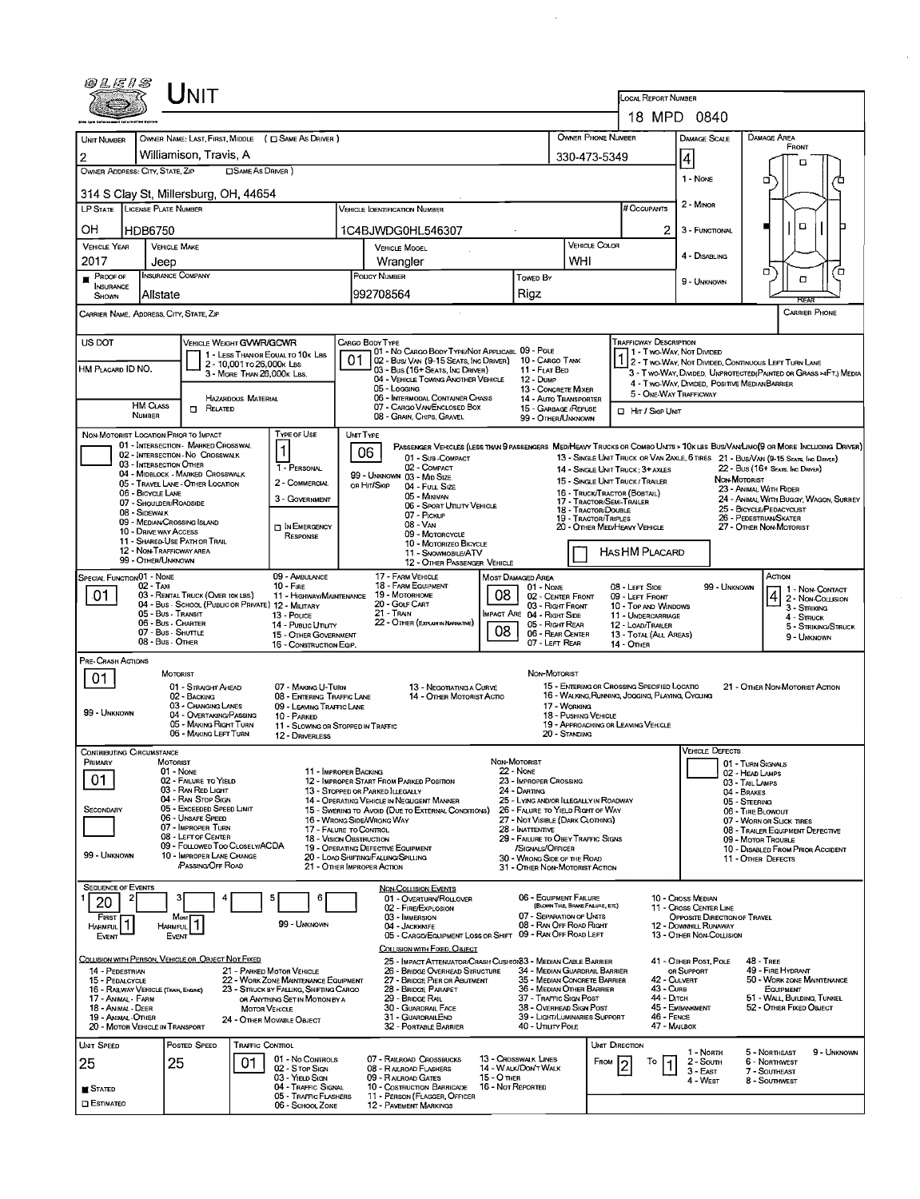| 0 L E 1 S                                                                                                  |                                          | JNIT                                                                                    |                            |                                                                          |          |                                                                                                           |                                                      |                                                               |                                  |                                                                 |                                                                        |                                      |                                                                                                                                                                                                                    |  |
|------------------------------------------------------------------------------------------------------------|------------------------------------------|-----------------------------------------------------------------------------------------|----------------------------|--------------------------------------------------------------------------|----------|-----------------------------------------------------------------------------------------------------------|------------------------------------------------------|---------------------------------------------------------------|----------------------------------|-----------------------------------------------------------------|------------------------------------------------------------------------|--------------------------------------|--------------------------------------------------------------------------------------------------------------------------------------------------------------------------------------------------------------------|--|
|                                                                                                            |                                          |                                                                                         |                            |                                                                          |          |                                                                                                           |                                                      |                                                               |                                  | <b>LOCAL REPORT NUMBER</b>                                      | 18 MPD 0840                                                            |                                      |                                                                                                                                                                                                                    |  |
| <b>UNIT NUMBER</b>                                                                                         |                                          |                                                                                         |                            | OWNER NAME: LAST, FIRST, MIDDLE ( C SAME AS DRIVER )                     |          |                                                                                                           |                                                      |                                                               |                                  | OWNER PHONE NUMBER                                              | <b>DAMAGE SCALE</b>                                                    |                                      | <b>DAMAGE AREA</b>                                                                                                                                                                                                 |  |
| 2                                                                                                          |                                          | Williamison, Travis, A                                                                  |                            |                                                                          |          |                                                                                                           |                                                      |                                                               | 330-473-5349                     |                                                                 | 4                                                                      |                                      | <b>FRONT</b>                                                                                                                                                                                                       |  |
| OWNER ADDRESS: CITY, STATE, ZIP                                                                            |                                          |                                                                                         | <b>CISAME AS DRIVER</b> )  |                                                                          |          |                                                                                                           |                                                      |                                                               |                                  |                                                                 |                                                                        |                                      | о                                                                                                                                                                                                                  |  |
| 314 S Clay St, Millersburg, OH, 44654                                                                      |                                          |                                                                                         |                            |                                                                          |          |                                                                                                           |                                                      |                                                               |                                  |                                                                 | 1 - None                                                               |                                      | о                                                                                                                                                                                                                  |  |
| LP STATE LICENSE PLATE NUMBER                                                                              |                                          |                                                                                         |                            |                                                                          |          | VEHICLE IDENTIFICATION NUMBER                                                                             |                                                      |                                                               |                                  | # Occupants                                                     | 2 - Minon                                                              |                                      |                                                                                                                                                                                                                    |  |
| OН                                                                                                         | HDB6750                                  |                                                                                         |                            |                                                                          |          | 1C4BJWDG0HL546307                                                                                         |                                                      |                                                               |                                  |                                                                 | 2<br>3 - FUNCTIONAL                                                    |                                      | $\Box$                                                                                                                                                                                                             |  |
| <b>VEHICLE YEAR</b>                                                                                        | <b>VEHICLE MAKE</b>                      |                                                                                         |                            |                                                                          |          | <b>VEHICLE MOOEL</b>                                                                                      |                                                      |                                                               | <b>VEHICLE COLOR</b>             |                                                                 |                                                                        |                                      |                                                                                                                                                                                                                    |  |
| 2017                                                                                                       | Jeep                                     |                                                                                         |                            |                                                                          |          | Wrangler                                                                                                  |                                                      |                                                               | WHI                              |                                                                 | 4 - DISABLING                                                          |                                      |                                                                                                                                                                                                                    |  |
| $P$ ROOF OF                                                                                                | <b>INSURANCE COMPANY</b>                 |                                                                                         |                            |                                                                          |          | <b>POLICY NUMBER</b>                                                                                      |                                                      | Towen By                                                      |                                  |                                                                 | 9 - UNKNOWN                                                            |                                      | σ<br>้อ<br>о                                                                                                                                                                                                       |  |
| <b>INSURANCE</b><br>SHOWN                                                                                  | Allstate                                 |                                                                                         |                            |                                                                          |          | 992708564                                                                                                 |                                                      | Rigz                                                          |                                  |                                                                 |                                                                        |                                      | <b>REAR</b>                                                                                                                                                                                                        |  |
| <b>CARRIER PHONE</b><br>CARRIER NAME, ADDRESS, CITY, STATE, ZIP                                            |                                          |                                                                                         |                            |                                                                          |          |                                                                                                           |                                                      |                                                               |                                  |                                                                 |                                                                        |                                      |                                                                                                                                                                                                                    |  |
| US DOT                                                                                                     |                                          | VEHICLE WEIGHT GVWR/GCWR                                                                |                            |                                                                          |          | CARGO BODY TYPE                                                                                           |                                                      |                                                               |                                  | <b>TRAFFICWAY DESCRIPTION</b>                                   |                                                                        |                                      |                                                                                                                                                                                                                    |  |
|                                                                                                            |                                          |                                                                                         | 2 - 10.001 To 26.000 K LBS | 1 - LESS THAN OR EQUAL TO 10K LBS                                        | 01       | 01 - No CARGO BODY TYPE/NOT APPLICABL 09 - POLE<br>02 - Bus/ VAN (9-15 SEATS, INC DRIVER) 10 - CARGO TANK |                                                      |                                                               |                                  |                                                                 | 1 - Two-Way, Not Divided                                               |                                      | 1 2 - T WO-WAY, NOT DIVIDED, CONTINUOUS LEFT TURN LANE                                                                                                                                                             |  |
| HM PLACARD ID NO.                                                                                          |                                          |                                                                                         | 3 - MORE THAN 26,000K LBS. |                                                                          |          | 03 - Bus (16+ Seats, Inc Driver)<br>04 - VEHICLE TOWING ANOTHER VEHICLE                                   |                                                      | 11 - FLAT BED<br>12 - Dump                                    |                                  |                                                                 |                                                                        |                                      | 3 - T WO-WAY, DIVIDED, UNPROTECTED (PAINTED OR GRASS >4FT.) MEDIA                                                                                                                                                  |  |
|                                                                                                            |                                          |                                                                                         |                            |                                                                          |          | 05 - Loccing                                                                                              |                                                      | 13 - CONCRETE MIXER                                           |                                  |                                                                 | 4 - Two-WAY, DIVIDED, POSITIVE MEDIANBARRIER<br>5 - ONE-WAY TRAFFICWAY |                                      |                                                                                                                                                                                                                    |  |
|                                                                                                            | <b>HM CLASS</b>                          | $\Box$<br>RELATED                                                                       | HAZARDOUS MATERIAL         |                                                                          |          | 06 - INTERMODAL CONTAINER CHASIS<br>07 - CARGO VAN ENCLOSED BOX                                           |                                                      | <b>14 - AUTO TRANSPORTER</b><br>15 - GARBAGE /REFUSE          |                                  | □ Hr / Skip UNIT                                                |                                                                        |                                      |                                                                                                                                                                                                                    |  |
|                                                                                                            | NUMBER                                   |                                                                                         |                            |                                                                          |          | 08 - GRAIN, CHIPS, GRAVEL                                                                                 |                                                      | 99 - OTHER/UNKNOWN                                            |                                  |                                                                 |                                                                        |                                      |                                                                                                                                                                                                                    |  |
| NON-MOTORIST LOCATION PRIOR TO IMPACT                                                                      |                                          | 01 - INTERSECTION - MARKED CROSSWAL                                                     |                            | <b>TYPE OF USE</b>                                                       | UNT TYPE |                                                                                                           |                                                      |                                                               |                                  |                                                                 |                                                                        |                                      |                                                                                                                                                                                                                    |  |
|                                                                                                            |                                          | 02 - INTERSECTION - NO CROSSWALK                                                        |                            |                                                                          |          | 06<br>01 - Sub-COMPACT                                                                                    |                                                      |                                                               |                                  |                                                                 |                                                                        |                                      | PASSENGER VEHICLES (LESS THAN 9 PASSENGERS MEDIHEANY TRUCKS OR COMBO UNITS > 10K LBS BUS/VANLIMO(9 OR MORE INCLUDING DRIVER)<br>13 - SINGLE UNIT TRUCK OR VAN 2AXLE, 6 TIRES 21 - BUS/VAN (9-15 SEATS, INC DRIVER) |  |
|                                                                                                            | 03 - INTERSECTION OTHER                  | 04 - MIDBLOCK - MARKED CROSSWALK                                                        |                            | 1 - PERSONAL                                                             |          | 02 - COMPACT<br>99 - UNKNOWN 03 - MID SIZE                                                                |                                                      |                                                               |                                  | 14 - SINGLE UNIT TRUCK; 3+ AXLES                                |                                                                        |                                      | 22 - Bus (16+ Seats, Inc Draver)                                                                                                                                                                                   |  |
|                                                                                                            | 06 - BICYCLE LANE                        | 05 - TRAVEL LANE - OTHER LOCATION                                                       |                            | 2 - COMMERCIAL                                                           |          | ов Ніт/Sкір<br>04 - FutL Size                                                                             |                                                      |                                                               |                                  | 15 - SINGLE UNIT TRUCK / TRAILER<br>16 - TRUCK/TRACTOR (BOBTAL) |                                                                        | NON-MOTORIST                         | 23 - ANIMAL WITH RIDER                                                                                                                                                                                             |  |
|                                                                                                            | 07 - SHOULDER/ROADSIDE                   |                                                                                         |                            | 3 - GOVERNMENT                                                           |          | 05 - MINIVAN<br>06 - SPORT UTILITY VEHICLE                                                                |                                                      |                                                               |                                  | 17 - TRACTOR/SEMI-TRAILER                                       |                                                                        |                                      | 24 - ANIMAL WITH BUGGY, WAGON, SURREY<br>25 - BICYCLE/PEDACYCLIST                                                                                                                                                  |  |
|                                                                                                            | 08 - SIDEWALK                            | 09 - MEDIAN CROSSING ISLAND                                                             |                            |                                                                          |          | 07 - PICKUP<br>08 - Van                                                                                   |                                                      |                                                               |                                  | 18 - TRACTOR/DOUBLE<br>19 - TRACTOR/TRIPLES                     |                                                                        |                                      | 26 - PEDESTRIAN SKATER                                                                                                                                                                                             |  |
|                                                                                                            | 10 - DRIVE WAY ACCESS                    |                                                                                         |                            | IN EMERGENCY<br>RESPONSE                                                 |          | 09 - MOTORCYCLE                                                                                           |                                                      |                                                               |                                  | 20 - OTHER MEDIHEAVY VEHICLE                                    |                                                                        |                                      | 27 - OTHER NON-MOTORIST                                                                                                                                                                                            |  |
| 11 - SHARED-USE PATH OR TRAIL<br>10 - MOTORIZEO BICYCLE<br>12 - NON-TRAFFICWAY AREA<br>11 - SNOWMOBILE/ATV |                                          |                                                                                         |                            |                                                                          |          |                                                                                                           |                                                      |                                                               |                                  | <b>HASHM PLACARD</b>                                            |                                                                        |                                      |                                                                                                                                                                                                                    |  |
|                                                                                                            | 99 - OTHER/UNKNOWN                       |                                                                                         |                            |                                                                          |          | 12 - OTHER PASSENGER VEHICLE                                                                              |                                                      |                                                               |                                  |                                                                 |                                                                        |                                      |                                                                                                                                                                                                                    |  |
| SPECIAL FUNCTION 01 - NONE                                                                                 | 02 - Taxi                                |                                                                                         |                            | 09 - AMBULANCE<br>$10 -$ Fire                                            |          | 17 - FARM VEHICLE<br>18 - FARM EQUIPMENT                                                                  |                                                      | <b>MOST DAMAGED AREA</b><br>$01 - None$                       |                                  | 08 - LEFT SIDE                                                  |                                                                        | 99 - Unknown                         | ACTION<br>1 - Non Contact                                                                                                                                                                                          |  |
| .01                                                                                                        |                                          | 03 - RENTAL TRUCK (OVER 10K LBS)<br>04 - Bus - SCHOOL (PUBLIC OR PRIVATE) 12 - MILITARY |                            | 11 - HIGHWAY/MAINTENANCE                                                 |          | 19 - Мотовноме<br>20 - GOLF CART                                                                          | 08                                                   | 02 - CENTER FRONT<br>03 - RIGHT FRONT                         |                                  | 09 - LEFT FRONT<br>10 - TOP AND WINDOWS                         |                                                                        |                                      | $42 - \frac{1}{2}$ Mon-Counsion<br>3 - STRIKING                                                                                                                                                                    |  |
|                                                                                                            | 05 - Bus - Transit<br>06 - Bus - Charter |                                                                                         |                            | 13 - Pouce                                                               |          | 21 - TRAIN<br><b>IMPACT ARE 04 - RIGHT SIDE</b><br>22 - OTHER (EXPLAININ NARRATIVE)<br>05 - Right Rear    |                                                      |                                                               |                                  |                                                                 | 11 - UNDERCARRIAGE<br>12 - LOAD/TRAILER                                |                                      |                                                                                                                                                                                                                    |  |
|                                                                                                            | 07 - Bus - SHUTTLE                       |                                                                                         |                            | 14 - Pusuc Unury<br>15 - OTHER GOVERNMENT                                |          |                                                                                                           | 08                                                   | 06 - REAR CENTER                                              |                                  | 13 - TOTAL (ALL AREAS)                                          |                                                                        |                                      | 5 - STRIKING/STRUCK<br>9 - UNKNOWN                                                                                                                                                                                 |  |
|                                                                                                            | 08 - Bus - OTHER                         |                                                                                         |                            | 16 - CONSTRUCTION EQIP.                                                  |          |                                                                                                           |                                                      | 07 - LEFT REAR                                                |                                  | 14 - OTHER                                                      |                                                                        |                                      |                                                                                                                                                                                                                    |  |
| PRE-CRASH ACTIONS                                                                                          | MOTORIST                                 |                                                                                         |                            |                                                                          |          |                                                                                                           |                                                      | NON-MOTORIST                                                  |                                  |                                                                 |                                                                        |                                      |                                                                                                                                                                                                                    |  |
| 01                                                                                                         |                                          | 01 - STRAIGHT AHEAD                                                                     |                            | 07 - MAKING U-TURN                                                       |          | 13 - NEGOTIATING A CURVE                                                                                  |                                                      |                                                               |                                  | 15 - ENTERING OR CROSSING SPECIFIED LOCATIO                     |                                                                        |                                      | 21 - OTHER NON-MOTORIST ACTION                                                                                                                                                                                     |  |
|                                                                                                            |                                          | 02 - BACKING<br>03 - CHANGING LANES                                                     |                            | 08 - ENTERING TRAFFIC LANE<br>09 - LEAVING TRAFFIC LANE                  |          | 14 - OTHER MOTORIST ACTIO                                                                                 |                                                      |                                                               | 17 - WORKING                     | 16 - WALKING RUNNING, JOGGING, PLAYING, CYCLING                 |                                                                        |                                      |                                                                                                                                                                                                                    |  |
| 99 - UNKNOWN                                                                                               |                                          | 04 - OVERTAKING/PASSING                                                                 |                            | 10 - PARKED                                                              |          |                                                                                                           |                                                      |                                                               | 18 - PUSHING VEHICLE             |                                                                 |                                                                        |                                      |                                                                                                                                                                                                                    |  |
|                                                                                                            |                                          | 05 - MAKING RIGHT TURN<br>06 - MAKING LEFT TURN                                         |                            | 11 - SLOWING OR STOPPED IN TRAFFIC<br>12 - DRIVERLESS                    |          |                                                                                                           |                                                      |                                                               | 20 - Standing                    | 19 - APPROACHING OR LEAVING VEHICLE                             |                                                                        |                                      |                                                                                                                                                                                                                    |  |
| CONTRIBUTING CIRCUMSTANCE                                                                                  |                                          |                                                                                         |                            |                                                                          |          |                                                                                                           |                                                      |                                                               |                                  |                                                                 | <b>VEHICLE DEFECTS</b>                                                 |                                      |                                                                                                                                                                                                                    |  |
| PRIMARY                                                                                                    | MOTORIST<br>01 - NONE                    |                                                                                         |                            | 11 - IMPROPER BACKING                                                    |          |                                                                                                           |                                                      | NON-MOTORIST<br>22 - NONE                                     |                                  |                                                                 |                                                                        | 01 - TURN SIGNALS<br>02 - HEAD LAMPS |                                                                                                                                                                                                                    |  |
| 01                                                                                                         |                                          | 02 - FAILURE TO YIELD                                                                   |                            |                                                                          |          | 12 - IMPROPER START FROM PARKED POSITION                                                                  |                                                      | 23 - IMPROPER CROSSING                                        |                                  |                                                                 |                                                                        | 03 - TAIL LAMPS                      |                                                                                                                                                                                                                    |  |
|                                                                                                            |                                          | 03 - RAN RED LIGHT<br>04 - RAN STOP SIGN                                                |                            |                                                                          |          | 13 - Stopped or Parked LLEGALLY<br>14 - OPERATING VEHICLE IN NEGLIGENT MANNER                             |                                                      | 24 - DARTING<br>25 - LYING AND/OR LLEGALLY IN ROADWAY         |                                  |                                                                 |                                                                        | 04 - BRAKES<br>05 - STEERING         |                                                                                                                                                                                                                    |  |
| SECONDARY                                                                                                  |                                          | 05 - Exceeped Speed Limit<br>06 - UNSAFE SPEED                                          |                            |                                                                          |          | 15 - Swering to Avoid (Due to External Conditions)<br>16 - WRONG SIDE/WRONG WAY                           |                                                      | 26 - FALURE TO YIELD RIGHT OF WAY                             |                                  |                                                                 |                                                                        | 06 - TIRE BLOWOUT                    | 07 - WORN OR SLICK TIRES                                                                                                                                                                                           |  |
|                                                                                                            |                                          | 07 - IMPROPER TURN<br>08 - LEFT OF CENTER                                               |                            | 17 - FALURE TO CONTROL                                                   |          |                                                                                                           | 27 - NOT VISIBLE (DARK CLOTHING)<br>28 - INATTENTIVE |                                                               |                                  |                                                                 |                                                                        |                                      | 08 - TRAILER EQUIPMENT DEFECTIVE                                                                                                                                                                                   |  |
|                                                                                                            |                                          | 09 - FOLLOWED TOO CLOSELY/ACDA                                                          |                            | 18 - VISION OBSTRUCTION                                                  |          | 29 - FAILURE TO OBEY TRAFFIC SIGNS<br>19 - OPERATING DEFECTIVE EQUIPMENT<br>/SIGNALS/OFFICER              |                                                      |                                                               |                                  |                                                                 |                                                                        |                                      | 09 - MOTOR TROUBLE<br>10 - DISABLED FROM PRIOR ACCIDENT                                                                                                                                                            |  |
| 99 - Unknown                                                                                               |                                          | 10 - IMPROPER LANE CHANGE<br>PASSING OFF ROAD                                           |                            |                                                                          |          | 20 - LOAD SHIFTING/FALUNG/SPILLING<br>21 - OTHER IMPROPER ACTION                                          |                                                      | 30 - WRONG SIDE OF THE ROAD<br>31 - OTHER NON-MOTORIST ACTION |                                  |                                                                 |                                                                        |                                      | 11 - OTHER DEFECTS                                                                                                                                                                                                 |  |
| Sequence of Events                                                                                         |                                          |                                                                                         |                            |                                                                          |          | <b>NON-COLLISION EVENTS</b>                                                                               |                                                      |                                                               |                                  |                                                                 |                                                                        |                                      |                                                                                                                                                                                                                    |  |
| 20                                                                                                         |                                          |                                                                                         |                            | 5<br>6                                                                   |          | 01 - OVERTURN/ROLLOVER                                                                                    |                                                      | 06 - EQUIPMENT FAILURE                                        |                                  |                                                                 | 10 - Cross Median                                                      |                                      |                                                                                                                                                                                                                    |  |
| FIRST                                                                                                      |                                          | Most                                                                                    |                            |                                                                          |          | 02 - FIRE/EXPLOSION<br>03 - IMMERSION                                                                     |                                                      | 07 - SEPARATION OF UNITS                                      | (BLOWN TIRE, BRAKE FAILURE, ETC) |                                                                 | 11 - Cross CENTER LINE<br>OPPOSITE DIRECTION OF TRAVEL                 |                                      |                                                                                                                                                                                                                    |  |
| HARMFUL<br>Event                                                                                           | <b>HARMFUL</b><br><b>EVENT</b>           |                                                                                         |                            | 99 - UNKNOWN                                                             |          | 04 - JACKKNIFE<br>05 - CARGO/EQUIPMENT LOSS OR SHIFT 09 - RAN OFF ROAD LEFT                               |                                                      | 08 - RAN OFF ROAD RIGHT                                       |                                  |                                                                 | 12 - DOWNHILL RUNAWAY<br>13 - OTHER NON-COLLISION                      |                                      |                                                                                                                                                                                                                    |  |
|                                                                                                            |                                          |                                                                                         |                            |                                                                          |          | COLLISION WITH FIXED, OBJECT                                                                              |                                                      |                                                               |                                  |                                                                 |                                                                        |                                      |                                                                                                                                                                                                                    |  |
| COLLISION WITH PERSON, VEHICLE OR OBJECT NOT FIXED                                                         |                                          |                                                                                         |                            |                                                                          |          | 25 - IMPACT ATTENUATOR/CRASH CUSHION33 - MEDIAN CABLE BARRIER                                             |                                                      | 34 - MEDIAN GUARDRAIL BARRIER                                 |                                  |                                                                 | 41 - OTHER POST, POLE                                                  |                                      | <b>48 - TREE</b><br>49 - FIRE HYDRANT                                                                                                                                                                              |  |
| 14 - PEDESTRIAN<br>15 - PEDALCYCLE                                                                         |                                          |                                                                                         |                            | 21 - PARKED MOTOR VEHICLE<br>22 - WORK ZONE MAINTENANCE EQUIPMENT        |          | 26 - BRIDGE OVERHEAD STRUCTURE<br>27 - BRIDGE PIER OR ABUTMENT                                            |                                                      | 35 - MEDIAN CONCRETE BARRIER                                  |                                  |                                                                 | OR SUPPORT<br>42 - CULVERT                                             |                                      | 50 - WORK ZONE MAINTENANCE                                                                                                                                                                                         |  |
| 16 - RAILWAY VEHICLE (TRAIN, ENGINE)<br>17 - Animal - Farm                                                 |                                          |                                                                                         |                            | 23 - STRUCK BY FALLING, SHIFTING CARGO<br>OR ANYTHING SET IN MOTION BY A |          | 28 - BRIDGE PARAPET<br>29 - BRIDGE RAIL                                                                   |                                                      | 36 - MEDIAN OTHER BARRIER<br>37 - TRAFFIC SIGN POST           |                                  |                                                                 | 43 - Curs<br>44 - Олтон                                                |                                      | EQUIPMENT<br>51 - WALL, BUILDING, TUNNEL                                                                                                                                                                           |  |
| 18 - Animal - Deer<br>19 - ANIMAL-OTHER                                                                    |                                          |                                                                                         | <b>MOTOR VEHICLE</b>       |                                                                          |          | 30 - GUARDRAIL FACE<br>31 - GUARDRAILEND                                                                  |                                                      | 38 - Overhead Sign Post<br>39 - LIGHT/LUMINARIES SUPPORT      |                                  |                                                                 | 45 - EMBANKMENT<br>46 - FENCE                                          |                                      | 52 - OTHER FIXED OBJECT                                                                                                                                                                                            |  |
| 20 - MOTOR VEHICLE IN TRANSPORT                                                                            |                                          |                                                                                         |                            | 24 - OTHER MOVABLE OBJECT                                                |          | 32 - PORTABLE BARRIER                                                                                     |                                                      | 40 - UTILITY POLE                                             |                                  |                                                                 | 47 - MALBOX                                                            |                                      |                                                                                                                                                                                                                    |  |
| <b>UNIT SPEED</b>                                                                                          |                                          | POSTED SPEED                                                                            | TRAFFIC CONTROL            |                                                                          |          |                                                                                                           |                                                      |                                                               |                                  | UNIT DIRECTION                                                  | 1 - North                                                              |                                      | 5 - NORTHEAST<br>9 - UNKNOWN                                                                                                                                                                                       |  |
| 25                                                                                                         | 25                                       |                                                                                         | 01                         | 01 - No CONTROLS<br>02 - Stop Sign                                       |          | 07 - RAILROAD CROSSBUCKS<br>08 - RALROAD FLASHERS                                                         |                                                      | 13 - Crosswalk Lines<br>14 - WALK/DONT WALK                   |                                  | То<br>FROM                                                      | 2 - South                                                              |                                      | 6 - NORTHWEST                                                                                                                                                                                                      |  |
|                                                                                                            |                                          |                                                                                         |                            | 03 - YIELD SIGN                                                          |          | 09 - RALROAD GATES                                                                                        | 15 - O THER                                          |                                                               |                                  |                                                                 | $3 - EAST$<br>4 - West                                                 |                                      | 7 - SOUTHEAST<br>8 - Southwest                                                                                                                                                                                     |  |
| <b>■ STATED</b>                                                                                            |                                          |                                                                                         |                            | 04 - Traffic Signal<br>05 - Traffic Flashers                             |          | 10 - COSTRUCTION BARRICADE<br>11 - PERSON (FLAGGER, OFFICER                                               | 16 - Not Reported                                    |                                                               |                                  |                                                                 |                                                                        |                                      |                                                                                                                                                                                                                    |  |
| <b>C</b> ESTIMATED                                                                                         |                                          |                                                                                         |                            | 06 - SCHOOL ZONE                                                         |          | <b>12 - PAVEMENT MARKINGS</b>                                                                             |                                                      |                                                               |                                  |                                                                 |                                                                        |                                      |                                                                                                                                                                                                                    |  |

 $\mathcal{L}_{\mathcal{L}}$ 

 $\frac{1}{2}$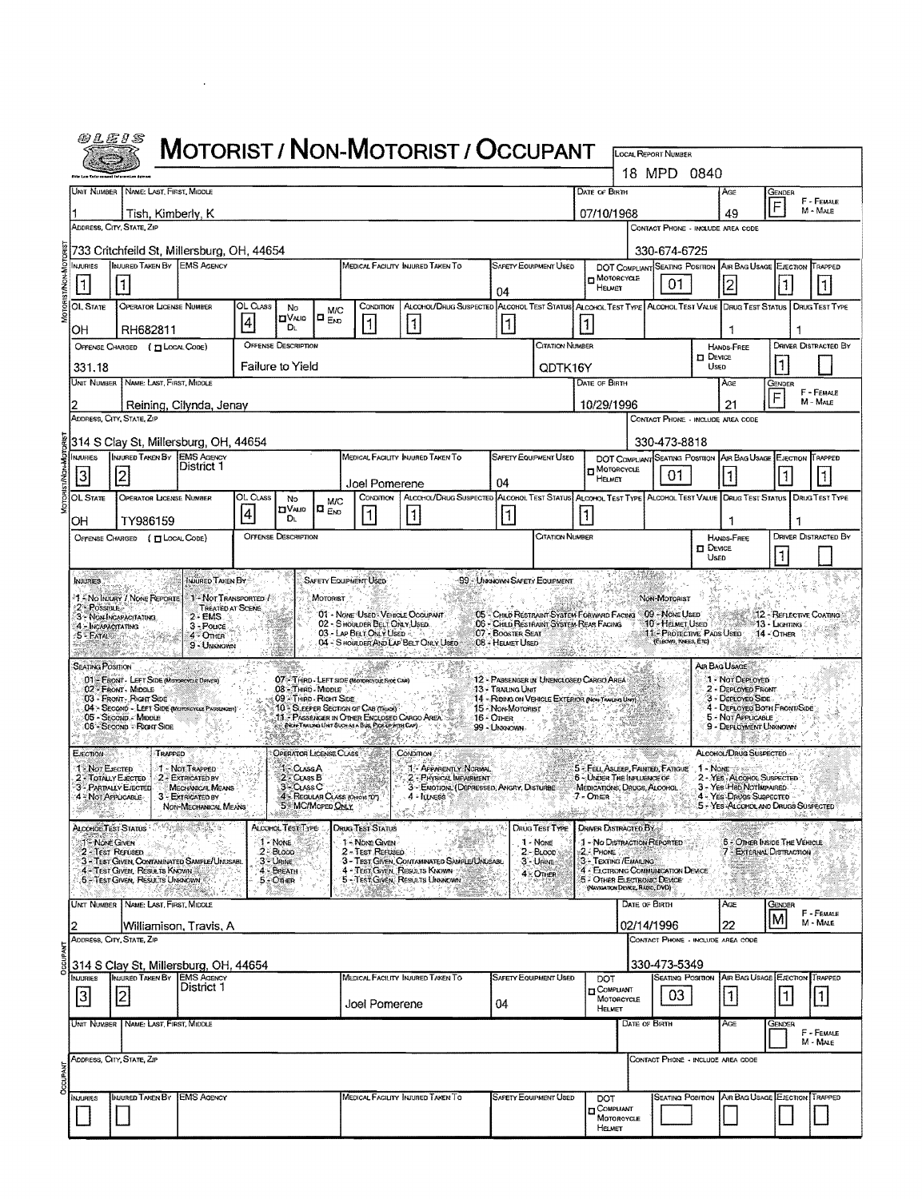|                                 | <i>@LE1S</i>                                                                                                                                                     |                                                                                                                 |                                                          |          |                                                 |                               |                                                                                   | MOTORIST / NON-MOTORIST / OCCUPANT                                                                                |                                       |                                                                                                       |                                                |                                                                                                |                         |                        |                                                                         |                                            |                             |  |
|---------------------------------|------------------------------------------------------------------------------------------------------------------------------------------------------------------|-----------------------------------------------------------------------------------------------------------------|----------------------------------------------------------|----------|-------------------------------------------------|-------------------------------|-----------------------------------------------------------------------------------|-------------------------------------------------------------------------------------------------------------------|---------------------------------------|-------------------------------------------------------------------------------------------------------|------------------------------------------------|------------------------------------------------------------------------------------------------|-------------------------|------------------------|-------------------------------------------------------------------------|--------------------------------------------|-----------------------------|--|
|                                 |                                                                                                                                                                  |                                                                                                                 |                                                          |          |                                                 |                               |                                                                                   |                                                                                                                   |                                       |                                                                                                       |                                                | LOCAL REPORT NUMBER                                                                            | 18 MPD 0840             |                        |                                                                         |                                            |                             |  |
|                                 |                                                                                                                                                                  | UNIT NUMBER NAME: LAST, FIRST, MIDDLE                                                                           |                                                          |          |                                                 |                               |                                                                                   |                                                                                                                   |                                       |                                                                                                       | DATE OF BIRTH                                  |                                                                                                |                         |                        | AGE                                                                     | Gender                                     |                             |  |
| 07/10/1968<br>Tish, Kimberly, K |                                                                                                                                                                  |                                                                                                                 |                                                          |          |                                                 |                               |                                                                                   |                                                                                                                   |                                       |                                                                                                       | F - FEMALE<br>$\overline{F}$<br>M - MALE<br>49 |                                                                                                |                         |                        |                                                                         |                                            |                             |  |
|                                 | ADDRESS, CITY, STATE, ZIP                                                                                                                                        |                                                                                                                 |                                                          |          |                                                 |                               |                                                                                   |                                                                                                                   |                                       |                                                                                                       |                                                | CONTACT PHONE - INCLUDE AREA CODE                                                              |                         |                        |                                                                         |                                            |                             |  |
|                                 | 733 Critchfeild St. Millersburg, OH, 44654<br>INJURED TAKEN BY EMS AGENCY<br>MEDICAL FACILITY INJURED TAKEN TO<br><b>NJURIES</b><br><b>SAFETY EQUIPMENT USED</b> |                                                                                                                 |                                                          |          |                                                 |                               |                                                                                   |                                                                                                                   |                                       |                                                                                                       | DOT COMPLIANT SEATING POSITION                 | 330-674-6725                                                                                   |                         | AIR BAG USAGE EJECTION |                                                                         | TRAPPED                                    |                             |  |
|                                 | 1                                                                                                                                                                |                                                                                                                 |                                                          |          |                                                 |                               |                                                                                   |                                                                                                                   |                                       |                                                                                                       | HEURET                                         | MOTORCYCLE                                                                                     | 01                      |                        | 2                                                                       |                                            |                             |  |
|                                 | <b>OL STATE</b>                                                                                                                                                  | <b>OPERATOR LICENSE NUMBER</b>                                                                                  |                                                          | OL Class | No                                              | <b>M/C</b>                    | CONDITION                                                                         | ALCOHOL/DRUG SUSPECTED ALCOHOL TEST STATUS ALCOHOL TEST TYPE ALCOHOL TEST VALUE DRUG TEST STATUS DRUG TEST TYPE   | 04                                    |                                                                                                       |                                                |                                                                                                |                         |                        |                                                                         |                                            |                             |  |
|                                 | ОH                                                                                                                                                               | RH682811                                                                                                        |                                                          | 4        | <b>CIVALID</b><br>DL.                           | $D_{END}$                     | 1                                                                                 | $\vert$ 1                                                                                                         | 11                                    |                                                                                                       | 1                                              |                                                                                                |                         |                        | 1                                                                       | J.                                         |                             |  |
|                                 | <b>OFFENSE DESCRIPTION</b><br>Citation Number<br>OFFENSE CHARGED (TILOCAL CODE)                                                                                  |                                                                                                                 |                                                          |          |                                                 |                               |                                                                                   |                                                                                                                   |                                       |                                                                                                       |                                                |                                                                                                |                         |                        | <b>HANDS-FREE</b>                                                       | <b>DRIVER DISTRACTED BY</b>                |                             |  |
|                                 | Failure to Yield<br>QDTK16Y<br>331.18                                                                                                                            |                                                                                                                 |                                                          |          |                                                 |                               |                                                                                   |                                                                                                                   |                                       |                                                                                                       |                                                |                                                                                                |                         | <b>DEVICE</b><br>Usen  |                                                                         | $\vert$ 1                                  |                             |  |
|                                 |                                                                                                                                                                  | UNIT NUMBER   NAME: LAST, FIRST, MIDDLE                                                                         |                                                          |          |                                                 |                               |                                                                                   |                                                                                                                   |                                       |                                                                                                       | DATE OF BIRTH                                  |                                                                                                |                         |                        | AGE                                                                     | Gender<br>F                                | F - FEMALE                  |  |
|                                 | M - MALE<br>21<br>10/29/1996<br>Reining, Cilynda, Jenay<br>ADDRESS, CITY, STATE, ZIP<br>CONTACT PHONE - INCLUDE AREA CODE                                        |                                                                                                                 |                                                          |          |                                                 |                               |                                                                                   |                                                                                                                   |                                       |                                                                                                       |                                                |                                                                                                |                         |                        |                                                                         |                                            |                             |  |
|                                 |                                                                                                                                                                  | 314 S Clay St, Millersburg, OH, 44654                                                                           |                                                          |          |                                                 |                               |                                                                                   |                                                                                                                   |                                       |                                                                                                       |                                                |                                                                                                | 330-473-8818            |                        |                                                                         |                                            |                             |  |
|                                 | Injuries                                                                                                                                                         | INJURED TAKEN BY EMS AGENCY                                                                                     | District 1                                               |          |                                                 |                               |                                                                                   | MEDICAL FACILITY INJURED TAKEN TO                                                                                 |                                       | <b>SAFETY EQUIPMENT USED</b>                                                                          |                                                |                                                                                                |                         |                        | DOT COMPLIANT SEATING POSITION AIR BAG USAGE EJECTION TRAPPED           |                                            |                             |  |
|                                 | 3                                                                                                                                                                |                                                                                                                 |                                                          |          |                                                 |                               | Joel Pomerene                                                                     |                                                                                                                   | 04                                    |                                                                                                       | HELMET                                         | <b>H</b> MOTORCYCLE                                                                            | 01                      |                        |                                                                         |                                            |                             |  |
|                                 | <b>OL STATE</b>                                                                                                                                                  | <b>OPERATOR LICENSE NUMBER</b>                                                                                  |                                                          | OL CLASS | No<br><b>CIVALID</b>                            | M/C<br>$\Box$ $_{E_{\rm ND}}$ | Сомолтом                                                                          | ALCOHOL/DRUG SUSPECTED ALCOHOL TEST STATUS ALCOHOL TEST TYPE ALCOHOL TEST VALUE DRUG TEST STATUS   DRUG TEST TYPE |                                       |                                                                                                       |                                                |                                                                                                |                         |                        |                                                                         |                                            |                             |  |
|                                 | OН                                                                                                                                                               | TY986159                                                                                                        |                                                          | 4        | Dı.<br><b>OFFENSE DESCRIPTION</b>               |                               | $\vert$ 1                                                                         | $\vert$ 1                                                                                                         | 1                                     | Citation Number                                                                                       |                                                |                                                                                                |                         |                        | 1                                                                       |                                            | <b>DRIVER DISTRACTED BY</b> |  |
|                                 | <b>OFFENSE CHARGED</b>                                                                                                                                           | (I LOCAL CODE)                                                                                                  |                                                          |          |                                                 |                               |                                                                                   |                                                                                                                   |                                       |                                                                                                       |                                                |                                                                                                |                         | <b>DEVICE</b><br>USED  | <b>HANDS-FREE</b>                                                       | $\mathbf{1}$                               |                             |  |
|                                 | <b>INJURIES</b>                                                                                                                                                  |                                                                                                                 | INJURED TAKEN BY                                         |          |                                                 |                               | SAFETY EQUIPMENT USED                                                             |                                                                                                                   | -99 - Unickown Safety Equipment       |                                                                                                       |                                                |                                                                                                |                         |                        |                                                                         |                                            |                             |  |
|                                 |                                                                                                                                                                  | 1 - No INJURY / NONE REPORTE                                                                                    | 1 - Not Transported /                                    |          |                                                 | MOTORIST                      |                                                                                   |                                                                                                                   |                                       |                                                                                                       |                                                |                                                                                                | NON-MOTORIST            |                        |                                                                         |                                            |                             |  |
|                                 | $2 - P$ OSSIBLE<br>4 - INCAPACITATING                                                                                                                            | 3 - NON-INCAPACITATUK3                                                                                          | TREATED AT SCENE<br>$2 - EMS$<br>$3 - P$ OLICE           |          |                                                 |                               | 01 - NONE USED-VEHICLE OCCUPANT<br>02 - SHOULDER BELT ONLY USED.                  |                                                                                                                   |                                       | 05 - Child Restraint System Forward Factive 09 - None Used<br>06 - CHILD RESTRAINT SYSTEM REAR FACING |                                                |                                                                                                | 10 - HELMET USED        |                        |                                                                         | 12 - REFLECTIVE COATING<br>≫13 - Цюнтімс ( |                             |  |
|                                 | $5 - FATAL =$                                                                                                                                                    |                                                                                                                 | $4 -$ OTHER<br>9 - UNKNOWN                               |          |                                                 |                               | 03 - LAP BELT ONLY USED - A                                                       | 04 - S HOULDER AND LAP BELT ONLY USED                                                                             | 07 - BOOSTER SEAT<br>08 - HELMET USED |                                                                                                       |                                                |                                                                                                | (ELBOWS, KNEES, ETC)    |                        | 11-PROTECTIVE PADS USED 14 - OTHER                                      |                                            |                             |  |
|                                 | <b>SEATING POSITION</b>                                                                                                                                          |                                                                                                                 |                                                          |          |                                                 |                               |                                                                                   |                                                                                                                   |                                       |                                                                                                       |                                                |                                                                                                |                         |                        | AIR BAG USAGE                                                           |                                            |                             |  |
|                                 |                                                                                                                                                                  | 01 - FRONT - LEFT SIDE (MOTORCYCLE DRIVER)<br>02 - FRONT - MIDDLE                                               |                                                          |          | 08 THIRD - MIDDLE                               |                               | 07 - THIRD - LEFT SIDE (MOTORCYCLE SIDE CAR)                                      |                                                                                                                   | 13 - Trailing Unit                    | 12 - PASSENGER IN UNENCLOSED CARGO AREA                                                               |                                                |                                                                                                |                         |                        | 1 - Not Deployed<br>2 - DEPLOYED FRONT                                  |                                            |                             |  |
|                                 |                                                                                                                                                                  | 03 - Front - Right Stoe<br>04 - SECOND - LEFT SIDE (MOTORCYCLE PASSENGER)<br>05 - Second - Middle               |                                                          |          | 09 THIRD RIGHT SIDE                             |                               | 10 - SLEEPER SECTION OF CAB (TRUCK)<br>11. PASSENGER IN OTHER ENCLOSED CARGO AREA |                                                                                                                   | 15 Non-Motorist<br>16 - Отнек         | 14 - RIDING ON VEHICLE EXTERIOR (NON-TRAILING)                                                        |                                                |                                                                                                |                         |                        | 3 - DEPLOYED SIDE<br>4 - DEPLOYED BOTH FRONT/SIDE<br>5 - NOT APPLICABLE |                                            |                             |  |
|                                 |                                                                                                                                                                  | 06 - Second - Right Side                                                                                        |                                                          |          |                                                 |                               | <b>RICH-TRAILING UNIT SUCH AS A BUS, PICK LE ATTH CAP)</b>                        |                                                                                                                   | 99 - Unionovin                        |                                                                                                       |                                                |                                                                                                |                         |                        | 9 - DEPLOYMENT UNKNOWN                                                  |                                            |                             |  |
|                                 | Елестом                                                                                                                                                          | TRAPPED                                                                                                         |                                                          |          | <b>OPERATOR LICENSE CLASS</b>                   |                               |                                                                                   | CONDITION :                                                                                                       |                                       |                                                                                                       |                                                |                                                                                                |                         |                        | ALCOHOL/DRUG SUSPECTED                                                  |                                            |                             |  |
|                                 | 1 Not Ejected<br>2 - TOTALLY EJECTED<br>3 - PARTIALLY EJECTED                                                                                                    |                                                                                                                 | 1 - NOT TRAPPED<br>2 - EXTRICATED BY<br>MECHANICAL MEANS |          | 1. CLASS A<br>2- Coas B<br>$3 - \text{Class C}$ |                               |                                                                                   | 1 - Afparently Normal<br>2 - Physical Imparment<br>3 - EMOTIONI (DEPRESSED, ANGRY, DISTURBE)                      |                                       |                                                                                                       |                                                | 5 - FELL ASLEEP, FAINTED, FATIOUE<br>6 - UNDER THE INFLUENCE OF<br>MEDICATIONS, DRUGS, ALCOHOL |                         |                        | 1 - NONE OF<br>2 - YES - ALCOHOL SUSPECTED<br>3 - Yes Hab Northraneo.   |                                            |                             |  |
|                                 | 4 - NOT APPLICABLE                                                                                                                                               |                                                                                                                 | 3 - EXTRICATED BY<br>NON-MECHANICAL MEANS                |          | 5 MC/Moped Only                                 |                               | 4 - REGULAR CLASS (ONOIS TOT)                                                     | 4 - ILLNESS                                                                                                       |                                       |                                                                                                       | $7 -$ Other $\log$                             |                                                                                                |                         |                        | 4 - Yes Daugs Suspected<br>5 - YES ALCOHOLAND DRUGS SUSPECTED           |                                            |                             |  |
|                                 |                                                                                                                                                                  | ALCOHOL TEST STATUS COMPUTER SALES                                                                              |                                                          |          | ALCOHOL TEST TYPE                               |                               | <b>DRUG TEST STATUS</b>                                                           |                                                                                                                   |                                       | DRUG TEST TYPE                                                                                        |                                                | <b>DRIVER DISTRACTED BY</b>                                                                    |                         |                        |                                                                         |                                            |                             |  |
|                                 | 1- None Given                                                                                                                                                    | $2 \cdot$ Test Refused                                                                                          |                                                          |          | 1 - None<br>$2 - B$ Loop                        |                               | 1 - Nove Given<br>2 - Test Reruseo                                                |                                                                                                                   |                                       | 1 - None<br>$2 - B$ LOOD                                                                              | ะ2. Phone                                      | 1 - No Distraction Reported                                                                    |                         |                        | 6 - OTHER INSIDE THE VEHICLE<br>7 - EXTERNAL DISTRACTION                |                                            |                             |  |
|                                 |                                                                                                                                                                  | 3 - TEST GIVEN, CONTAMINATED SAMPLE/UNUSABL<br>4 - TEST GIVEN, RESULTS KNOWN<br>5 - TEST GIVEN, RESULTS UNKNOWN |                                                          |          | 3-URINE<br>4 - Beeath<br>$5 - \text{Other}$     |                               |                                                                                   | 3 - TEST GIVEN, CONTAMINATED SAMPLE/UNUSABL<br>4 - Test Given, Results Known<br>5 - TEST GIVEN, RESULTS UNKNOWN   |                                       | 3 - URINE<br>$4 -$ Onien                                                                              |                                                | 3 - TEXTING / EMAILING"<br>4 - ELCTRONIC COMMUNICATION DEVICE<br>5 - OTHER ELECTRONIC DEVICE   |                         |                        |                                                                         |                                            |                             |  |
|                                 |                                                                                                                                                                  |                                                                                                                 | 49 K.H<br>$\mathcal{L}$                                  |          |                                                 |                               |                                                                                   |                                                                                                                   |                                       |                                                                                                       |                                                | (NAVGATION DEVICE, RADIO, DVD)                                                                 |                         |                        |                                                                         |                                            |                             |  |
|                                 |                                                                                                                                                                  | UNIT NUMBER   NAME: LAST, FIRST, MIDDLE                                                                         |                                                          |          |                                                 |                               |                                                                                   |                                                                                                                   |                                       |                                                                                                       |                                                | DATE OF BIRTH<br>02/14/1996                                                                    |                         |                        | Age<br>22                                                               | Gender<br>М                                | F - Female<br>M - MALE      |  |
|                                 |                                                                                                                                                                  | Williamison, Travis, A<br>ADDRESS, CITY, STATE, ZIP                                                             |                                                          |          |                                                 |                               |                                                                                   |                                                                                                                   |                                       |                                                                                                       |                                                |                                                                                                |                         |                        | CONTACT PHONE - INCLUDE AREA CODE                                       |                                            |                             |  |
|                                 |                                                                                                                                                                  | 314 S Clay St, Millersburg, OH, 44654                                                                           |                                                          |          |                                                 |                               |                                                                                   |                                                                                                                   |                                       |                                                                                                       |                                                |                                                                                                | 330-473-5349            |                        |                                                                         |                                            |                             |  |
|                                 | <b>INJURIES</b>                                                                                                                                                  | <b>INJURED TAKEN BY EMS AGENCY</b>                                                                              | District 1                                               |          |                                                 |                               |                                                                                   | MEDICAL FACILITY INJURED TAKEN TO                                                                                 |                                       | <b>SAFETY EQUIPMENT USED</b>                                                                          | DOT<br><b>D</b> COMPUANT                       |                                                                                                | SEATING POSITION        |                        | AIR BAG USAGE EJECTION TRAPPED                                          |                                            |                             |  |
|                                 | 3                                                                                                                                                                | 2                                                                                                               |                                                          |          |                                                 |                               | Joel Pomerene                                                                     |                                                                                                                   | 04                                    |                                                                                                       | HELMET                                         | MOTORCYCLE                                                                                     | 03                      |                        | 1                                                                       | 11                                         | $\vert$ 1                   |  |
|                                 |                                                                                                                                                                  | UNIT NUMBER   NAME: LAST, FIRST, MIDDLE                                                                         |                                                          |          |                                                 |                               |                                                                                   |                                                                                                                   |                                       |                                                                                                       |                                                | DATE OF BIRTH                                                                                  |                         |                        | AGE                                                                     | GENDER                                     | F - FEMALE                  |  |
|                                 | Address, City, State, Zip                                                                                                                                        |                                                                                                                 |                                                          |          |                                                 |                               |                                                                                   |                                                                                                                   |                                       |                                                                                                       |                                                |                                                                                                |                         |                        | CONTACT PHONE - INCLUDE AREA CODE                                       |                                            | M-MALE                      |  |
|                                 |                                                                                                                                                                  |                                                                                                                 |                                                          |          |                                                 |                               |                                                                                   |                                                                                                                   |                                       |                                                                                                       |                                                |                                                                                                |                         |                        |                                                                         |                                            |                             |  |
|                                 | NJURIES                                                                                                                                                          | INJURED TAKEN BY                                                                                                | <b>EMS AGENCY</b>                                        |          |                                                 |                               |                                                                                   | MEDICAL FACILITY INJURED TAKEN TO                                                                                 |                                       | <b>SAFETY EQUIPMENT USED</b>                                                                          | DOT<br><b>D</b> COMPUANT                       |                                                                                                | <b>SEATING POSITION</b> |                        | AIR BAG USAGE EJECTION TRAPPED                                          |                                            |                             |  |
|                                 |                                                                                                                                                                  |                                                                                                                 |                                                          |          |                                                 |                               |                                                                                   |                                                                                                                   |                                       |                                                                                                       | HELMET                                         | Мотовсусце                                                                                     |                         |                        |                                                                         |                                            |                             |  |
|                                 |                                                                                                                                                                  |                                                                                                                 |                                                          |          |                                                 |                               |                                                                                   |                                                                                                                   |                                       |                                                                                                       |                                                |                                                                                                |                         |                        |                                                                         |                                            |                             |  |